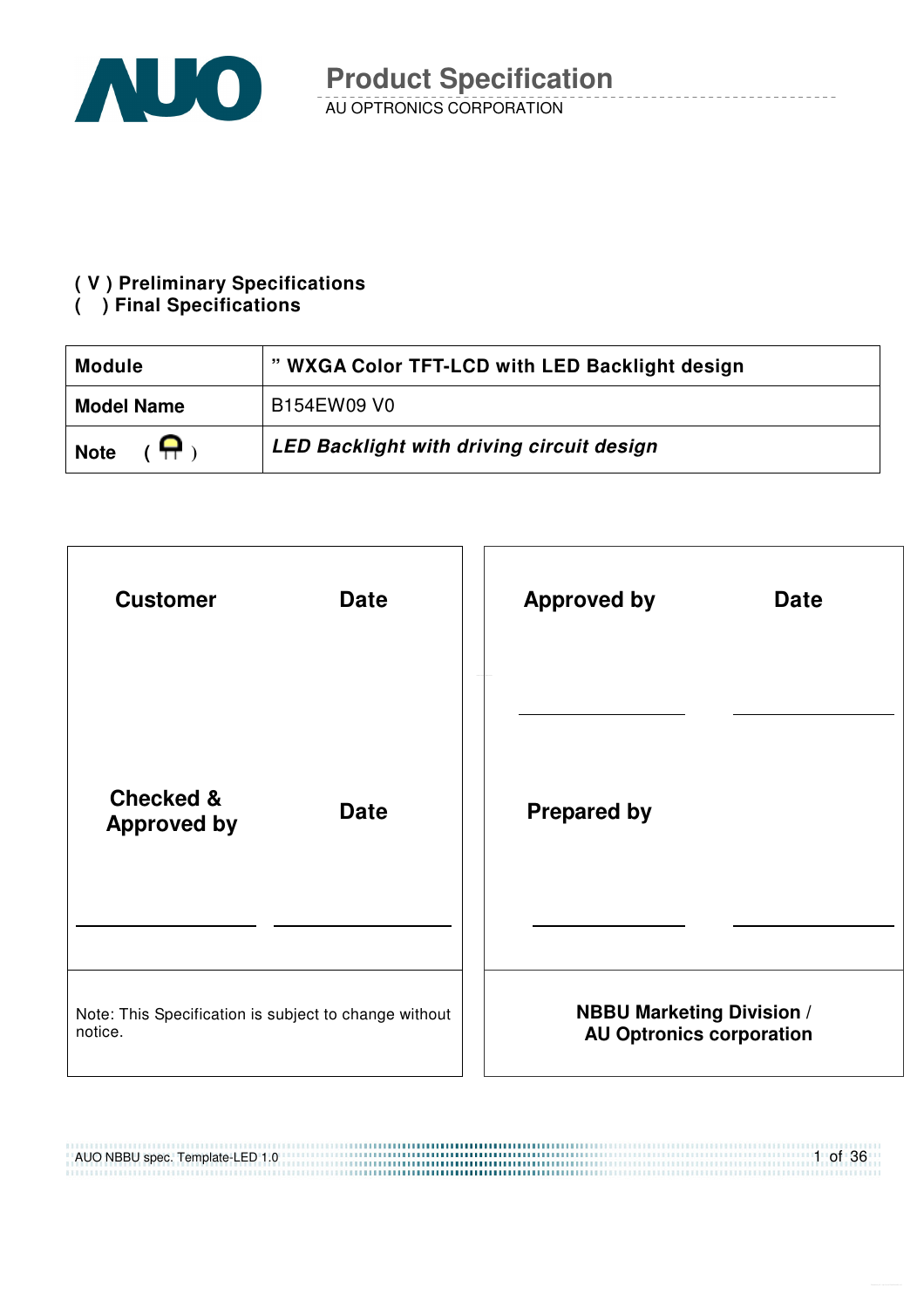

#### **( V ) Preliminary Specifications**

#### **( ) Final Specifications**

| <b>Module</b>                                         | " WXGA Color TFT-LCD with LED Backlight design |
|-------------------------------------------------------|------------------------------------------------|
| <b>Model Name</b>                                     | B154EW09 V0                                    |
| $\overline{(\mathsf{H}^{\mathsf{H}})}$<br><b>Note</b> | LED Backlight with driving circuit design      |



,,,,,,,,,,,,,,,,,,,,,,,,,,,,,,,

AUO NBBU spec. Template-LED 1.0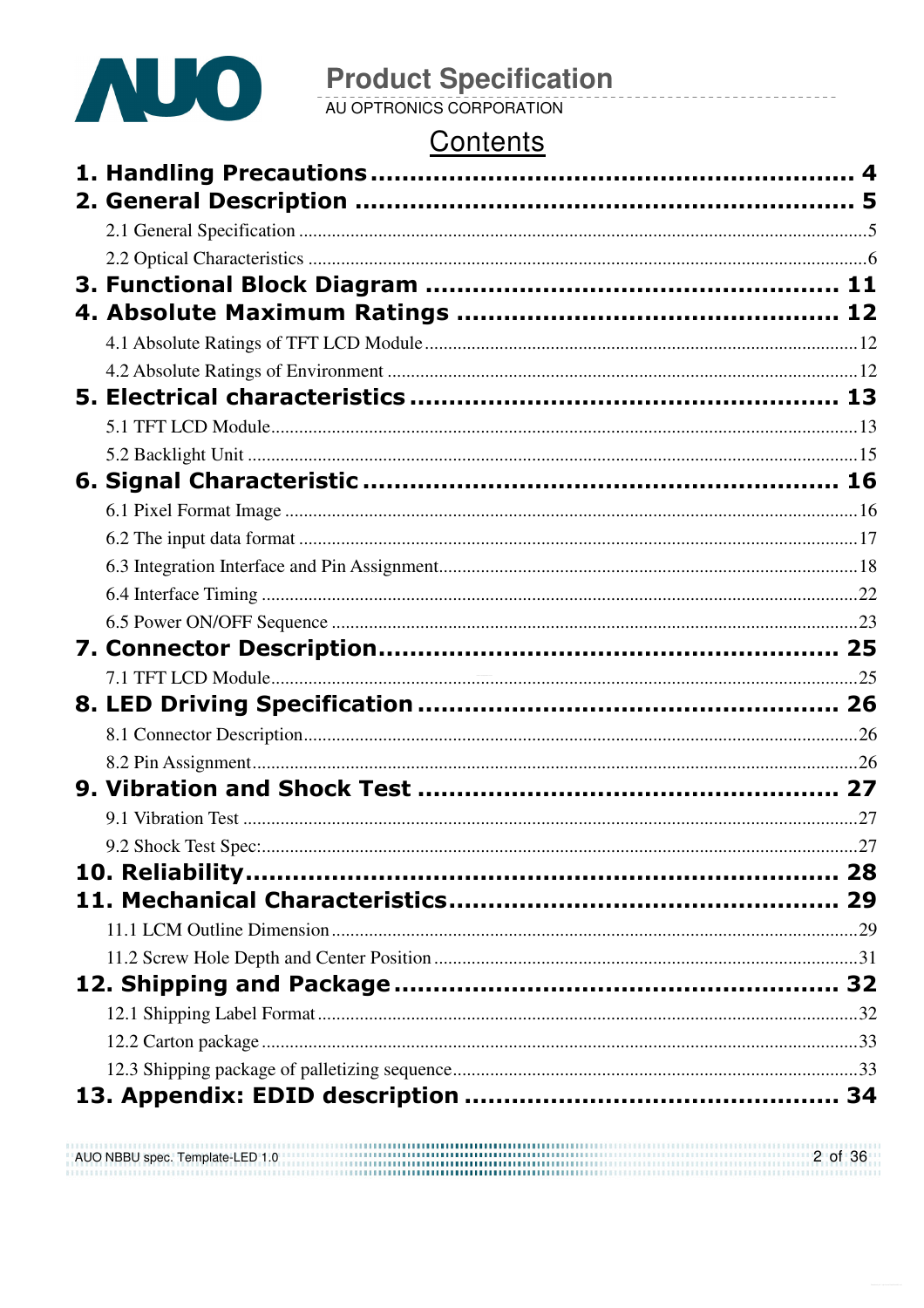

# **Product Specification**<br>AU OPTRONICS CORPORATION

### Contents

|  | 27 |
|--|----|
|  |    |
|  |    |
|  |    |
|  |    |
|  |    |
|  |    |
|  |    |
|  |    |
|  |    |
|  |    |

AUO NBBU spec. Template-LED 1.0 2 of 36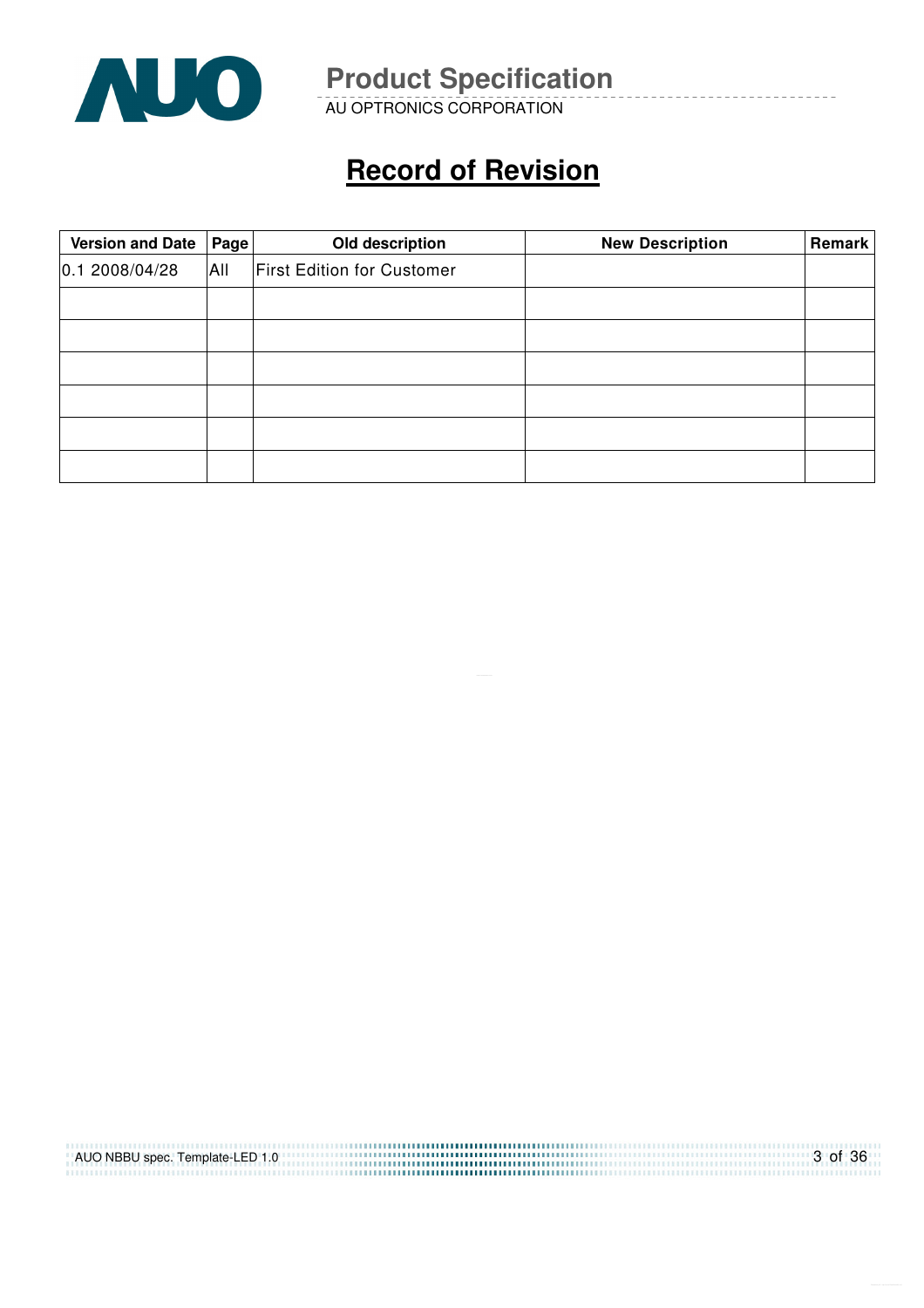

AU OPTRONICS CORPORATION

## **Record of Revision**

| Version and Date   Page |     | Old description                   | <b>New Description</b> | Remark |
|-------------------------|-----|-----------------------------------|------------------------|--------|
| 0.12008/04/28           | All | <b>First Edition for Customer</b> |                        |        |
|                         |     |                                   |                        |        |
|                         |     |                                   |                        |        |
|                         |     |                                   |                        |        |
|                         |     |                                   |                        |        |
|                         |     |                                   |                        |        |
|                         |     |                                   |                        |        |

| AUO NBBU spec. Template-LED 1.0 | 3 of 36 |
|---------------------------------|---------|
|                                 |         |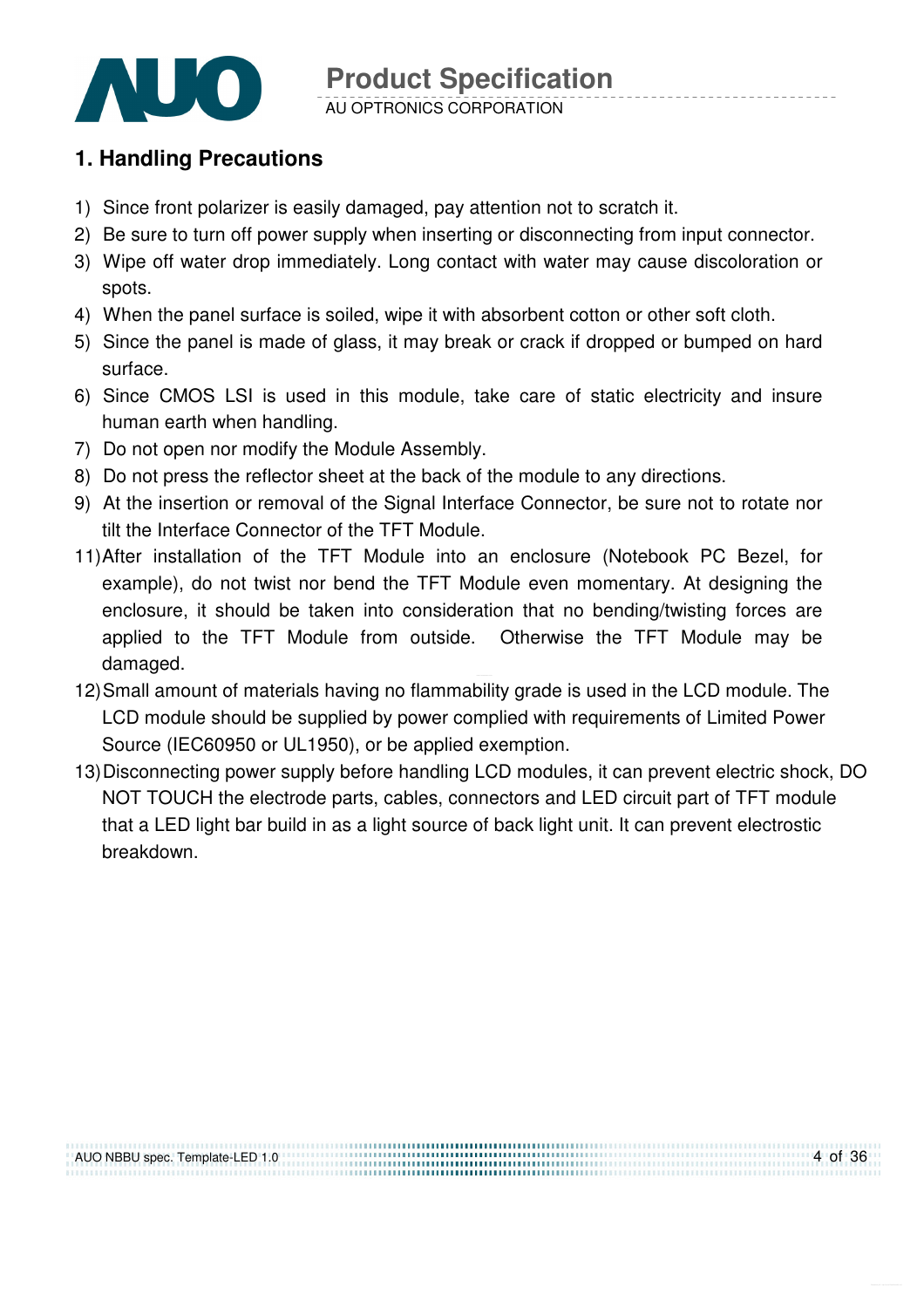

#### **1. Handling Precautions**

- 1) Since front polarizer is easily damaged, pay attention not to scratch it.
- 2) Be sure to turn off power supply when inserting or disconnecting from input connector.
- 3) Wipe off water drop immediately. Long contact with water may cause discoloration or spots.
- 4) When the panel surface is soiled, wipe it with absorbent cotton or other soft cloth.
- 5) Since the panel is made of glass, it may break or crack if dropped or bumped on hard surface.
- 6) Since CMOS LSI is used in this module, take care of static electricity and insure human earth when handling.
- 7) Do not open nor modify the Module Assembly.
- 8) Do not press the reflector sheet at the back of the module to any directions.
- 9) At the insertion or removal of the Signal Interface Connector, be sure not to rotate nor tilt the Interface Connector of the TFT Module.
- 11) After installation of the TFT Module into an enclosure (Notebook PC Bezel, for example), do not twist nor bend the TFT Module even momentary. At designing the enclosure, it should be taken into consideration that no bending/twisting forces are applied to the TFT Module from outside. Otherwise the TFT Module may be damaged.
- 12) Small amount of materials having no flammability grade is used in the LCD module. The LCD module should be supplied by power complied with requirements of Limited Power Source (IEC60950 or UL1950), or be applied exemption.
- 13) Disconnecting power supply before handling LCD modules, it can prevent electric shock, DO NOT TOUCH the electrode parts, cables, connectors and LED circuit part of TFT module that a LED light bar build in as a light source of back light unit. It can prevent electrostic breakdown.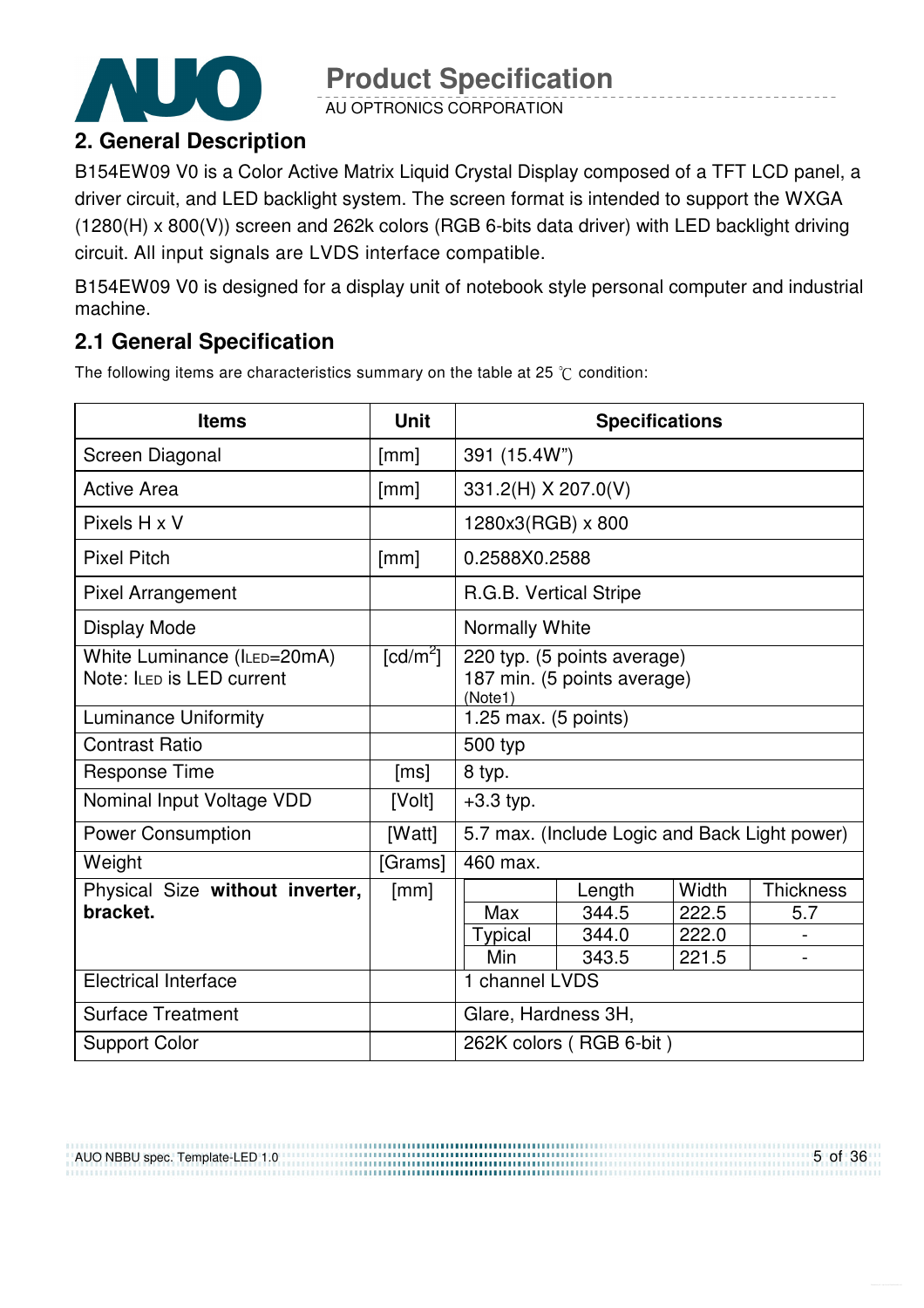

AU OPTRONICS CORPORATION

### **2. General Description**

B154EW09 V0 is a Color Active Matrix Liquid Crystal Display composed of a TFT LCD panel, a driver circuit, and LED backlight system. The screen format is intended to support the WXGA (1280(H) x 800(V)) screen and 262k colors (RGB 6-bits data driver) with LED backlight driving circuit. All input signals are LVDS interface compatible.

B154EW09 V0 is designed for a display unit of notebook style personal computer and industrial machine.

### **2.1 General Specification**

The following items are characteristics summary on the table at 25  $\degree$ C condition:

| <b>Items</b>                                             | <b>Unit</b>            | <b>Specifications</b>                                                 |                                               |       |                  |
|----------------------------------------------------------|------------------------|-----------------------------------------------------------------------|-----------------------------------------------|-------|------------------|
| Screen Diagonal                                          | [mm]                   | 391 (15.4W")                                                          |                                               |       |                  |
| <b>Active Area</b>                                       | [mm]                   | 331.2(H) X 207.0(V)                                                   |                                               |       |                  |
| Pixels H x V                                             |                        | 1280x3(RGB) x 800                                                     |                                               |       |                  |
| <b>Pixel Pitch</b>                                       | [mm]                   | 0.2588X0.2588                                                         |                                               |       |                  |
| <b>Pixel Arrangement</b>                                 |                        | R.G.B. Vertical Stripe                                                |                                               |       |                  |
| <b>Display Mode</b>                                      |                        | Normally White                                                        |                                               |       |                  |
| White Luminance (ILED=20mA)<br>Note: ILED is LED current | $\lceil cd/m^2 \rceil$ | 220 typ. (5 points average)<br>187 min. (5 points average)<br>(Note1) |                                               |       |                  |
| <b>Luminance Uniformity</b>                              |                        | 1.25 max. (5 points)                                                  |                                               |       |                  |
| <b>Contrast Ratio</b>                                    |                        | 500 typ                                                               |                                               |       |                  |
| <b>Response Time</b>                                     | [ms]                   | 8 typ.                                                                |                                               |       |                  |
| Nominal Input Voltage VDD                                | [Volt]                 | $+3.3$ typ.                                                           |                                               |       |                  |
| <b>Power Consumption</b>                                 | [Watt]                 |                                                                       | 5.7 max. (Include Logic and Back Light power) |       |                  |
| Weight                                                   | [Grams]                | 460 max.                                                              |                                               |       |                  |
| Physical Size without inverter,                          | [mm]                   |                                                                       | Length                                        | Width | <b>Thickness</b> |
| bracket.                                                 |                        | Max                                                                   | 344.5                                         | 222.5 | 5.7              |
|                                                          |                        | Typical                                                               | 344.0                                         | 222.0 |                  |
|                                                          |                        | Min                                                                   | 343.5                                         | 221.5 |                  |
| <b>Electrical Interface</b>                              |                        | 1 channel LVDS                                                        |                                               |       |                  |
| <b>Surface Treatment</b>                                 |                        | Glare, Hardness 3H,                                                   |                                               |       |                  |
| <b>Support Color</b>                                     |                        | 262K colors (RGB 6-bit)                                               |                                               |       |                  |

AUO NBBU spec. Template-LED 1.0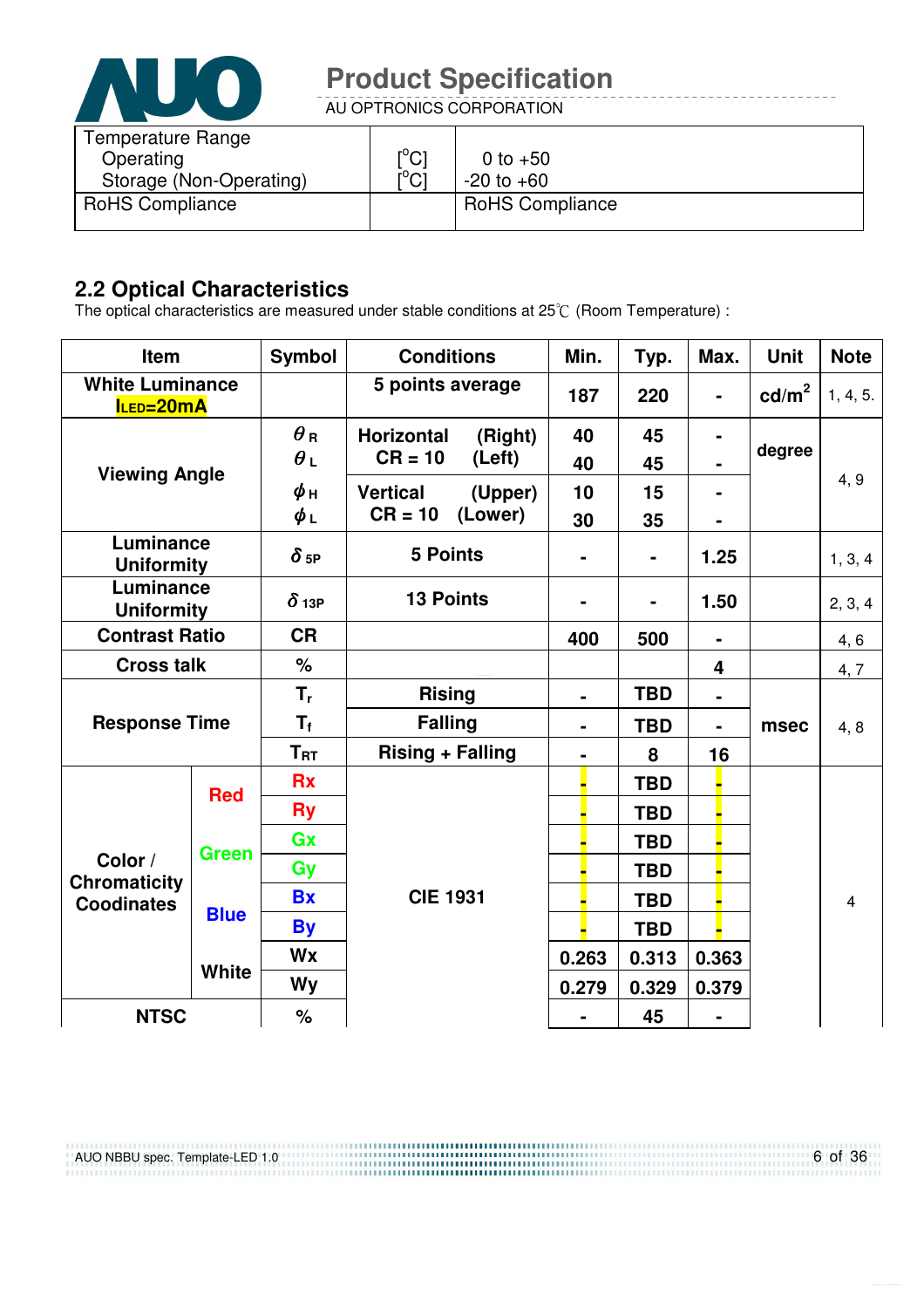

AU OPTRONICS CORPORATION

| <b>Temperature Range</b><br>Operating<br>Storage (Non-Operating) | $\mathop{\rm l{^{\circ}C}}\nolimits$<br>$\mathsf{I}^\circ\mathsf{Cl}$ | 0 to $+50$<br>$-20$ to $+60$ |
|------------------------------------------------------------------|-----------------------------------------------------------------------|------------------------------|
| <b>RoHS Compliance</b>                                           |                                                                       | <b>RoHS Compliance</b>       |

### **2.2 Optical Characteristics**

The optical characteristics are measured under stable conditions at 25 $\degree$  (Room Temperature) :

| Item                                                |              | <b>Symbol</b> | <b>Conditions</b>            | Min.                         | Typ.       | Max.           | <b>Unit</b>     | <b>Note</b> |
|-----------------------------------------------------|--------------|---------------|------------------------------|------------------------------|------------|----------------|-----------------|-------------|
| <b>White Luminance</b><br>ILED=20mA                 |              |               | 5 points average             | 187                          | 220        |                | $\text{cd/m}^2$ | 1, 4, 5.    |
|                                                     |              | $\theta$ R    | <b>Horizontal</b><br>(Right) | 40                           | 45         |                |                 |             |
| <b>Viewing Angle</b>                                |              | $\theta_L$    | $CR = 10$<br>(Left)          | 40                           | 45         |                | degree          |             |
|                                                     |              | $\phi$ н      | <b>Vertical</b><br>(Upper)   | 10                           | 15         |                |                 | 4, 9        |
|                                                     |              | $\phi_L$      | $CR = 10$<br>(Lower)         | 30                           | 35         |                |                 |             |
| Luminance<br><b>Uniformity</b>                      |              | $\delta$ 5P   | <b>5 Points</b>              |                              | ۰          | 1.25           |                 | 1, 3, 4     |
| Luminance<br><b>Uniformity</b>                      |              | $\delta$ 13P  | <b>13 Points</b>             | $\qquad \qquad \blacksquare$ |            | 1.50           |                 | 2, 3, 4     |
| <b>Contrast Ratio</b>                               |              | <b>CR</b>     |                              | 400                          | 500        | $\blacksquare$ |                 | 4,6         |
| <b>Cross talk</b>                                   |              | $\%$          |                              |                              |            | 4              |                 | 4, 7        |
|                                                     |              | $T_{r}$       | <b>Rising</b>                | $\blacksquare$               | <b>TBD</b> | $\blacksquare$ |                 |             |
| <b>Response Time</b>                                |              | $T_{\rm f}$   | <b>Falling</b>               | $\blacksquare$               | <b>TBD</b> | $\blacksquare$ | msec            | 4, 8        |
|                                                     |              | $T_{\rm RT}$  | <b>Rising + Falling</b>      | $\blacksquare$               | 8          | 16             |                 |             |
|                                                     | <b>Red</b>   | <b>Rx</b>     |                              |                              | <b>TBD</b> |                |                 |             |
|                                                     |              | <b>Ry</b>     |                              |                              | <b>TBD</b> |                |                 |             |
|                                                     | <b>Green</b> | Gx            |                              |                              | <b>TBD</b> |                |                 |             |
| Color /<br><b>Chromaticity</b><br><b>Coodinates</b> |              | Gy            |                              |                              | <b>TBD</b> |                |                 |             |
|                                                     |              | <b>Bx</b>     | <b>CIE 1931</b>              |                              | <b>TBD</b> |                |                 | 4           |
|                                                     | <b>Blue</b>  | <b>By</b>     |                              |                              | <b>TBD</b> |                |                 |             |
|                                                     |              | Wx            |                              | 0.263                        | 0.313      | 0.363          |                 |             |
|                                                     | <b>White</b> | <b>Wy</b>     |                              | 0.279                        | 0.329      | 0.379          |                 |             |
| <b>NTSC</b>                                         |              | %             |                              |                              | 45         |                |                 |             |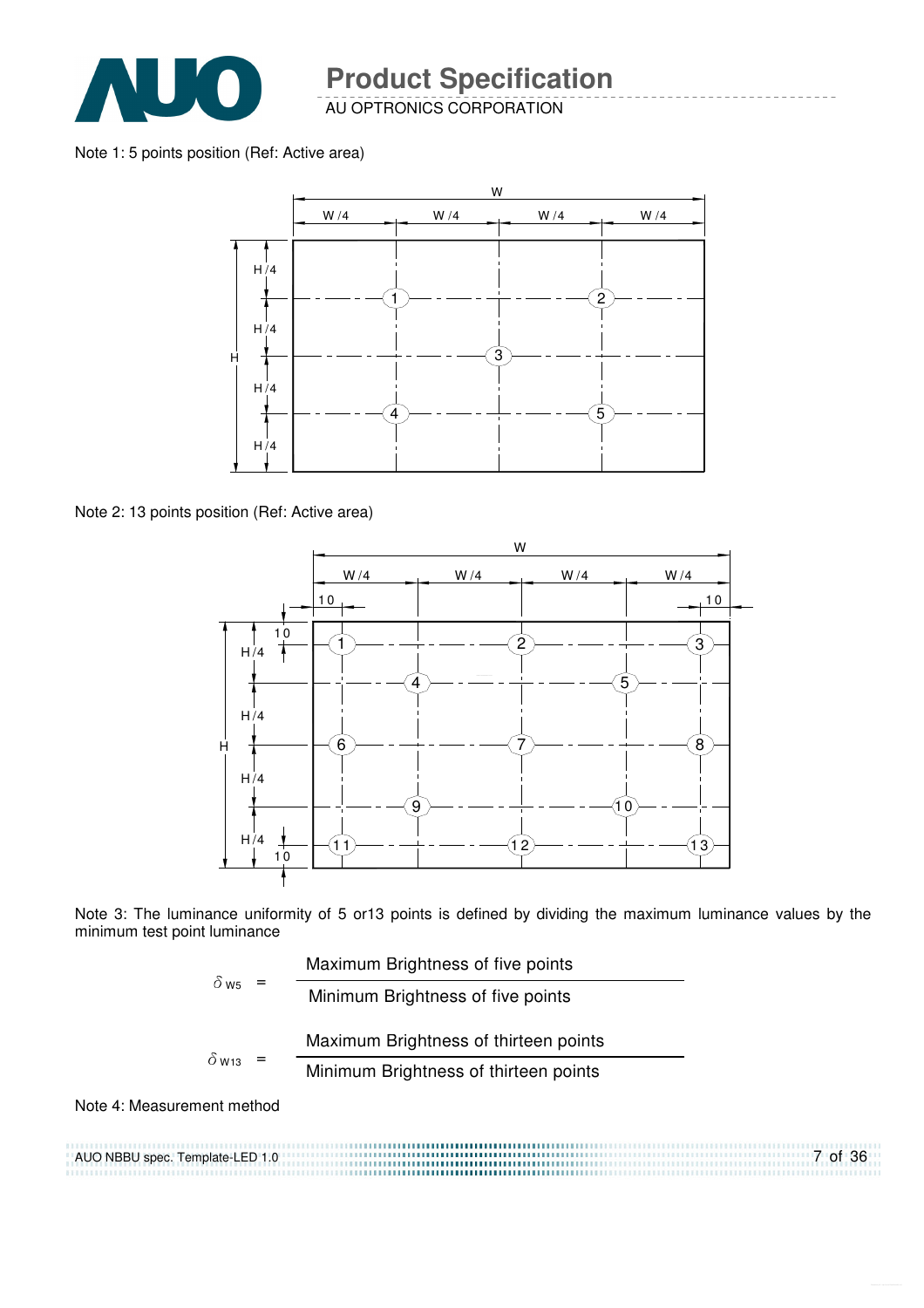

AU OPTRONICS CORPORATION

#### Note 1: 5 points position (Ref: Active area)



Note 2: 13 points position (Ref: Active area)



Note 3: The luminance uniformity of 5 or13 points is defined by dividing the maximum luminance values by the minimum test point luminance

| $\delta$ W <sub>5</sub> |  | Maximum Brightness of five points     |
|-------------------------|--|---------------------------------------|
|                         |  | Minimum Brightness of five points     |
| $\delta$ w13            |  | Maximum Brightness of thirteen points |
|                         |  | Minimum Brightness of thirteen points |
|                         |  |                                       |

Note 4: Measurement method

AUO NBBU spec. Template-LED 1.0 7 of 36 .......................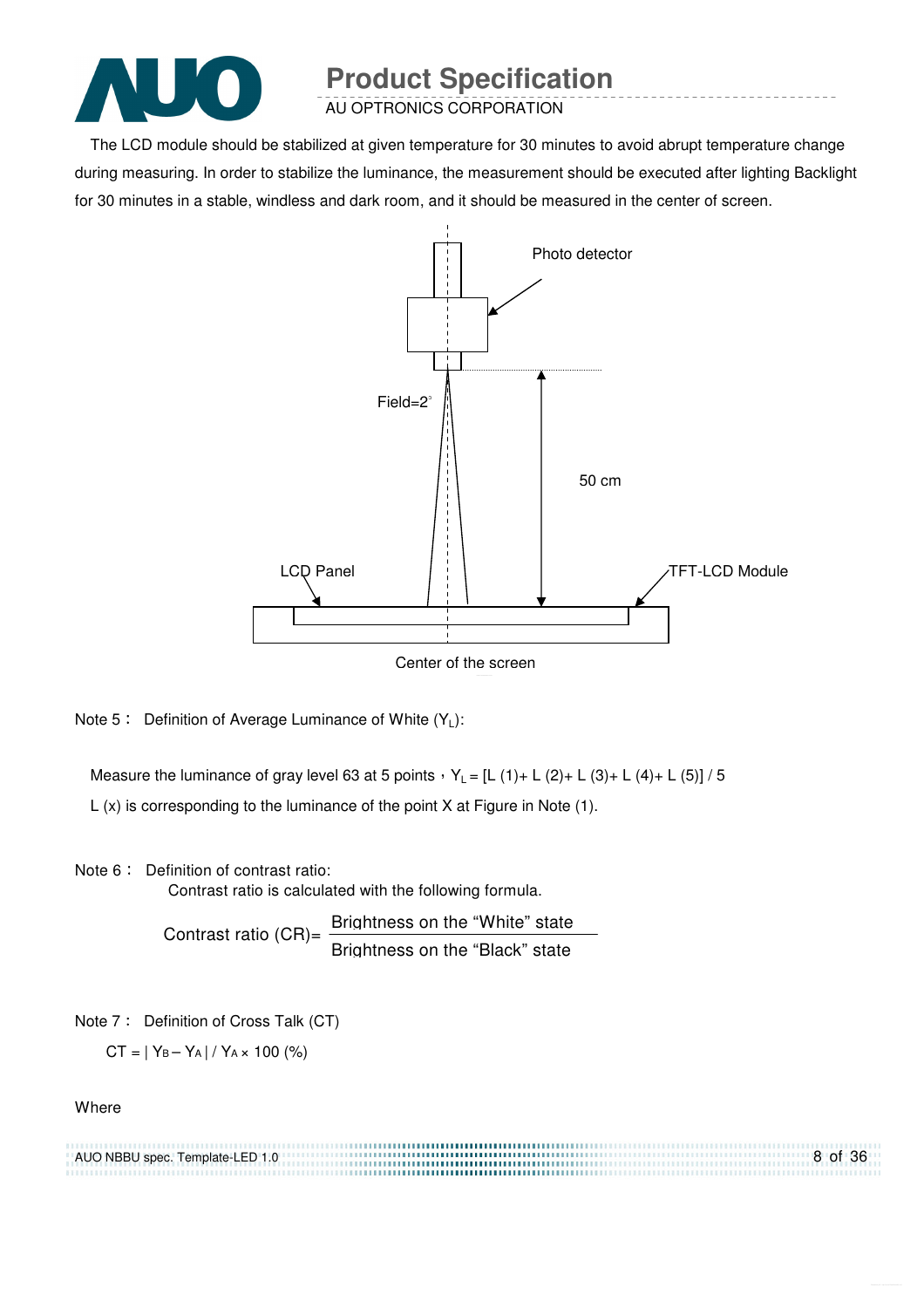

AU OPTRONICS CORPORATION

The LCD module should be stabilized at given temperature for 30 minutes to avoid abrupt temperature change during measuring. In order to stabilize the luminance, the measurement should be executed after lighting Backlight for 30 minutes in a stable, windless and dark room, and it should be measured in the center of screen.



Note 5: Definition of Average Luminance of White  $(Y_L)$ :

Measure the luminance of gray level 63 at 5 points  $Y_L = [L (1) + L (2) + L (3) + L (4) + L (5)] / 5$ L (x) is corresponding to the luminance of the point X at Figure in Note (1).

Note 6: Definition of contrast ratio:

Contrast ratio is calculated with the following formula.

Contrast ratio (CR)=  $\frac{\text{Brightness on the "White" state}}{\text{Brif} + \text{Brif} + \text{Brif} + \text{Brif} + \text{Brif} + \text{Brif} + \text{Brif} + \text{Brif} + \text{Brif} + \text{Brif} + \text{Brif} + \text{Brif} + \text{Brif} + \text{Brif} + \text{Brif} + \text{Brif} + \text{Brif} + \text{Brif} + \text{Brif} + \text{Brif} + \text{Brif} + \text{Brif} + \text{Brif} + \text{Brif} + \text{Brif} + \text{Brif} + \$ Brightness on the "Black" state

Note 7: Definition of Cross Talk (CT)

 $CT = |Y_B - Y_A| / Y_A \times 100$  (%)

#### **Where**

| AUO NBBU spec. Template-LED 1.0 | 8 of 36 |
|---------------------------------|---------|
|                                 |         |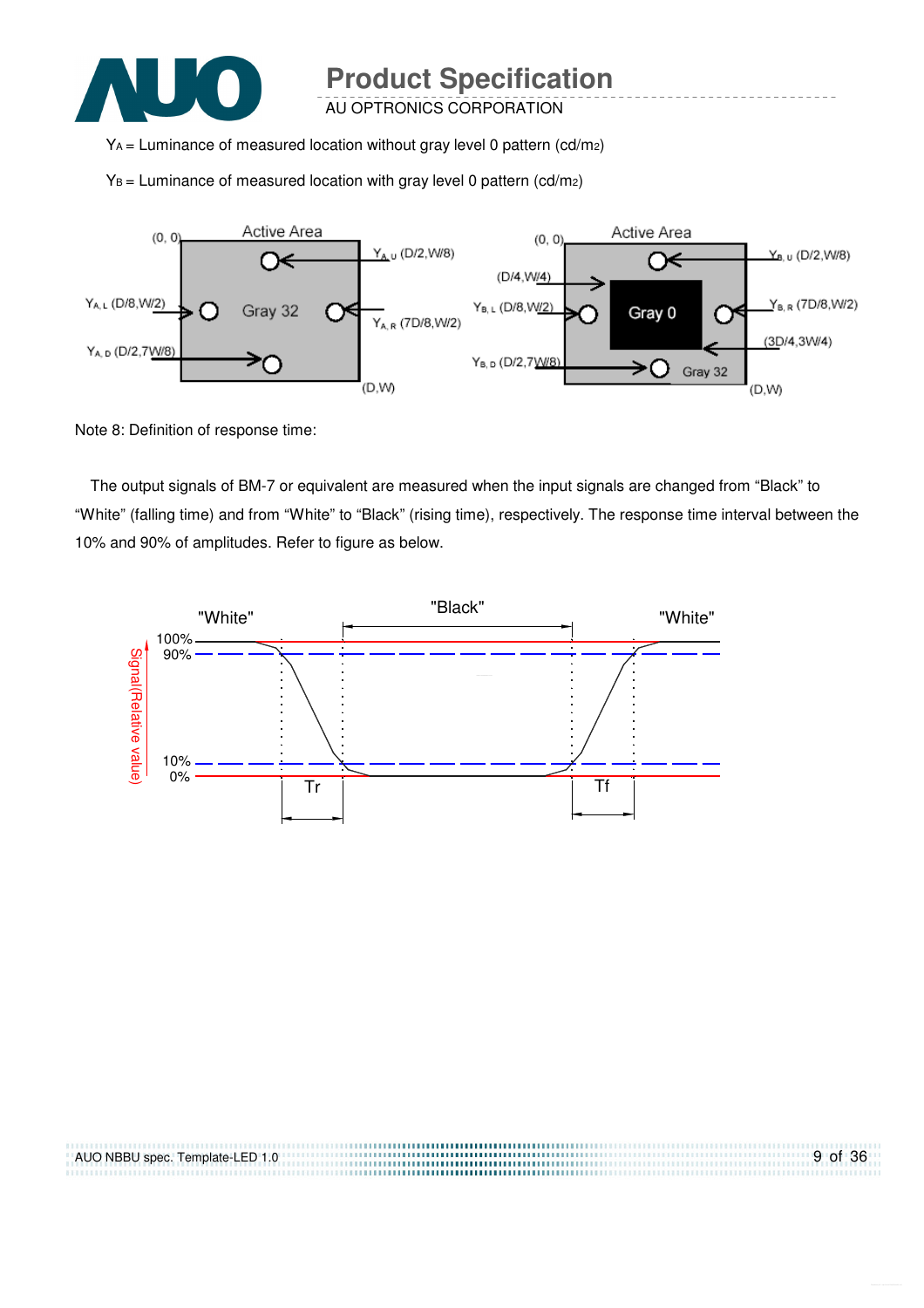

AU OPTRONICS CORPORATION

YA = Luminance of measured location without gray level 0 pattern (cd/m2)

 $Y_B$  = Luminance of measured location with gray level 0 pattern (cd/m<sub>2</sub>)



Note 8: Definition of response time:

The output signals of BM-7 or equivalent are measured when the input signals are changed from "Black" to "White" (falling time) and from "White" to "Black" (rising time), respectively. The response time interval between the 10% and 90% of amplitudes. Refer to figure as below.



| AUO NBBU spec. Template-LED 1.0 | 9 of 36 |
|---------------------------------|---------|
|                                 |         |
|                                 |         |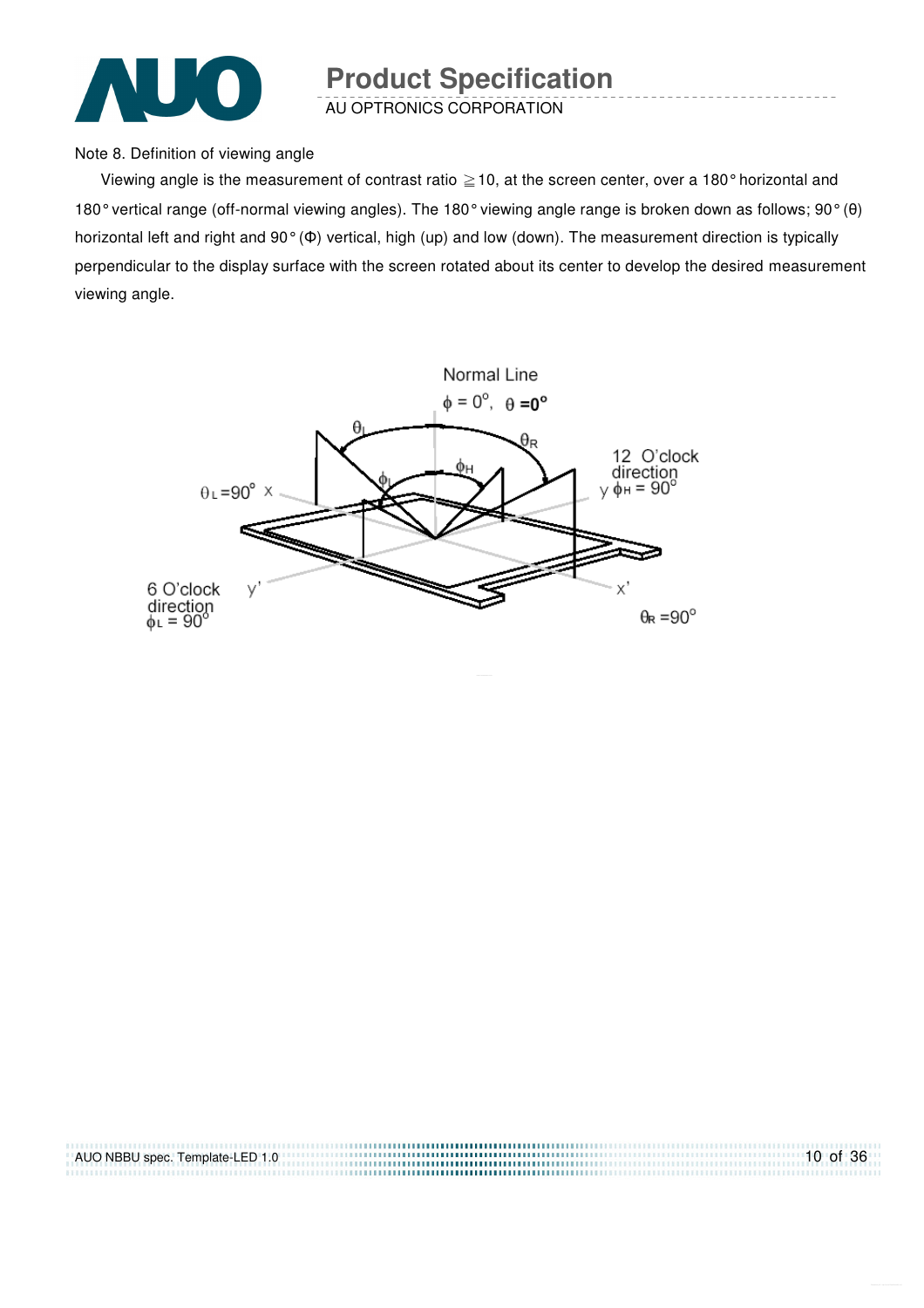

AU OPTRONICS CORPORATION

Note 8. Definition of viewing angle

Viewing angle is the measurement of contrast ratio  $\geq$  10, at the screen center, over a 180° horizontal and 180° vertical range (off-normal viewing angles). The 180° viewing angle range is broken down as follows; 90° (θ) horizontal left and right and 90° (Φ) vertical, high (up) and low (down). The measurement direction is typically perpendicular to the display surface with the screen rotated about its center to develop the desired measurement viewing angle.



| AUO NBBU spec. Template-LED 1.0 | $10$ of 36 |
|---------------------------------|------------|
|                                 |            |
|                                 |            |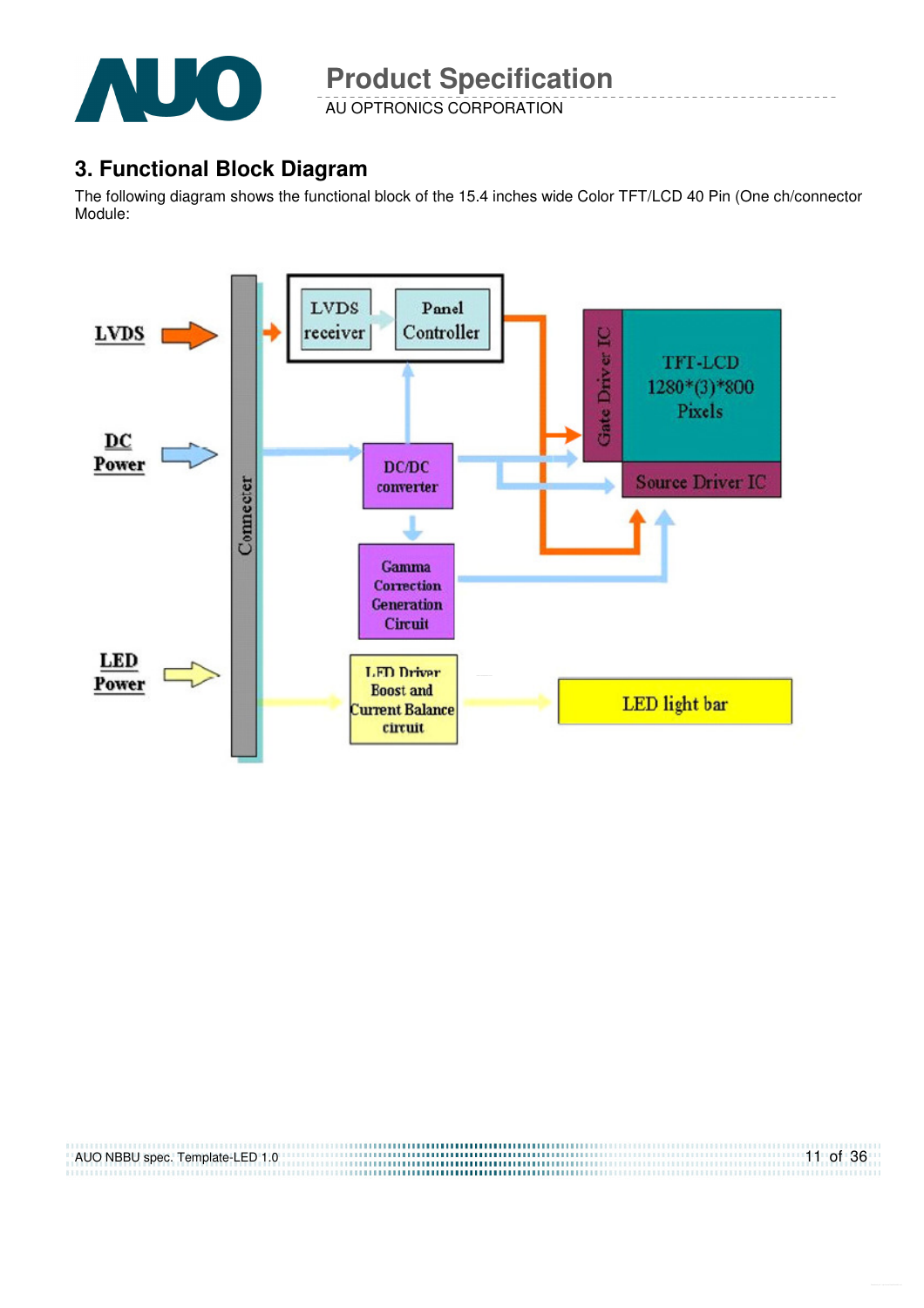

AU OPTRONICS CORPORATION

### **3. Functional Block Diagram**

The following diagram shows the functional block of the 15.4 inches wide Color TFT/LCD 40 Pin (One ch/connector Module:



| AUO NBBU spec. Template-LED 1.0 | $11$ of 36 |
|---------------------------------|------------|
|                                 |            |
|                                 |            |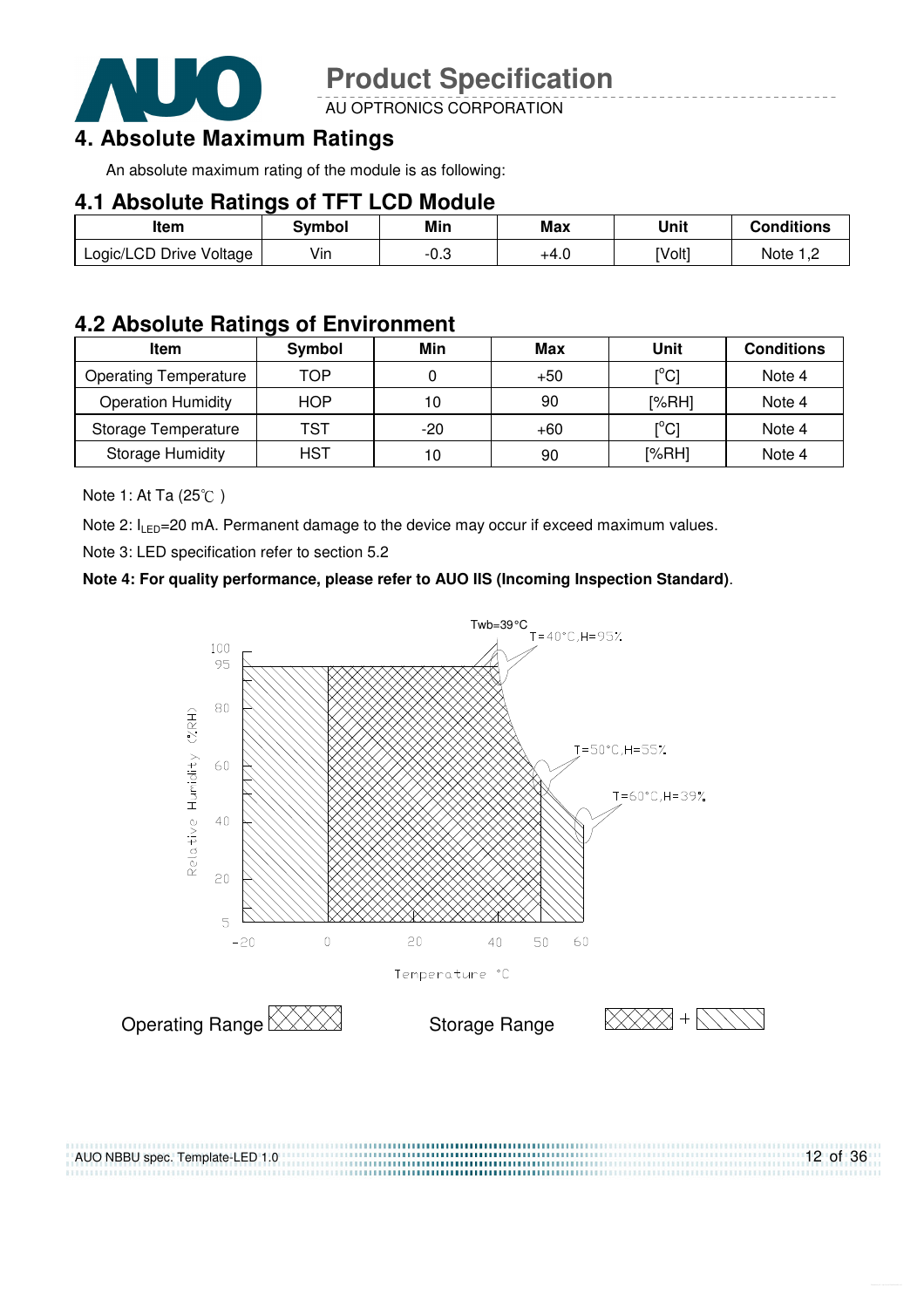

AU OPTRONICS CORPORATION

### **4. Absolute Maximum Ratings**

An absolute maximum rating of the module is as following:

#### **4.1 Absolute Ratings of TFT LCD Module**

| ltem                    | Svmbol | Min    | Max  | Unit   | Conditions |
|-------------------------|--------|--------|------|--------|------------|
| Logic/LCD Drive Voltage | Vin    | $-0.3$ | +4.U | [Volt] | Note :     |

### **4.2 Absolute Ratings of Environment**

| Item                         | Symbol     | Min   | Max   | Unit                         | <b>Conditions</b> |
|------------------------------|------------|-------|-------|------------------------------|-------------------|
| <b>Operating Temperature</b> | TOP        |       | $+50$ | $\mathsf{I}^\circ\mathsf{C}$ | Note 4            |
| <b>Operation Humidity</b>    | <b>HOP</b> | 10    | 90    | [%RH]                        | Note 4            |
| Storage Temperature          | TST        | $-20$ | $+60$ | $\mathsf{I}^{\circ}$ Cl      | Note 4            |
| <b>Storage Humidity</b>      | <b>HST</b> | 10    | 90    | [%RH]                        | Note 4            |

Note 1: At Ta (25°C)

Note 2:  $I_{LED}$ =20 mA. Permanent damage to the device may occur if exceed maximum values.

Note 3: LED specification refer to section 5.2

#### **Note 4: For quality performance, please refer to AUO IIS (Incoming Inspection Standard)**.

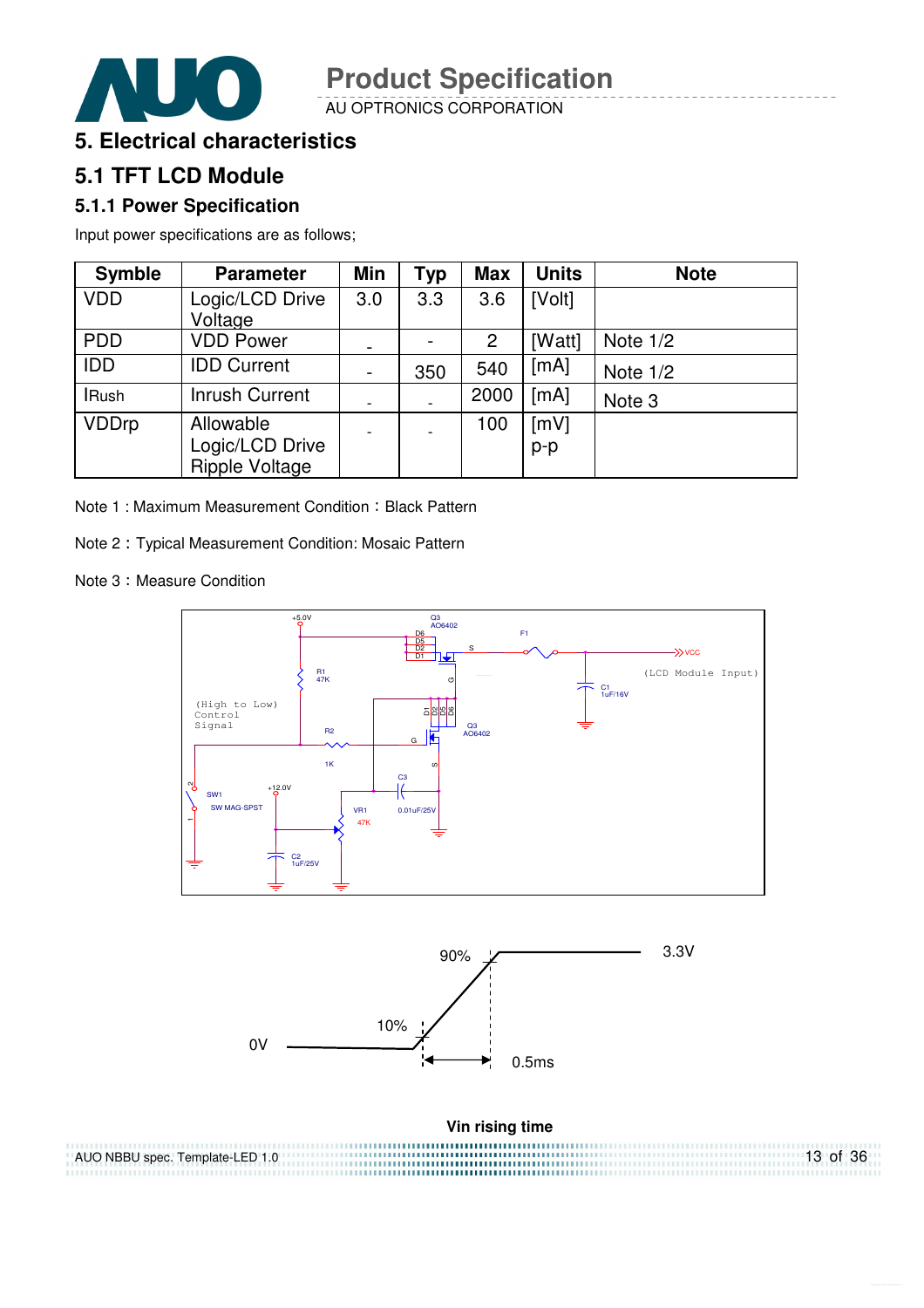

AU OPTRONICS CORPORATION



### **5.1 TFT LCD Module**

#### **5.1.1 Power Specification**

Input power specifications are as follows;

| <b>Symble</b> | <b>Parameter</b>                               | Min                      | <b>Typ</b> | <b>Max</b> | <b>Units</b>  | <b>Note</b> |
|---------------|------------------------------------------------|--------------------------|------------|------------|---------------|-------------|
| <b>VDD</b>    | Logic/LCD Drive<br>Voltage                     | 3.0                      | 3.3        | 3.6        | [Volt]        |             |
| <b>PDD</b>    | <b>VDD Power</b>                               |                          |            | 2          | [Watt]        | Note $1/2$  |
| <b>IDD</b>    | <b>IDD Current</b>                             | $\blacksquare$           | 350        | 540        | [mA]          | Note $1/2$  |
| <b>IRush</b>  | <b>Inrush Current</b>                          | $\overline{\phantom{a}}$ |            | 2000       | [mA]          | Note 3      |
| <b>VDDrp</b>  | Allowable<br>Logic/LCD Drive<br>Ripple Voltage | $\overline{\phantom{a}}$ |            | 100        | [mV]<br>$p-p$ |             |

Note 1 : Maximum Measurement Condition : Black Pattern

Note 2 Typical Measurement Condition: Mosaic Pattern

Note 3: Measure Condition

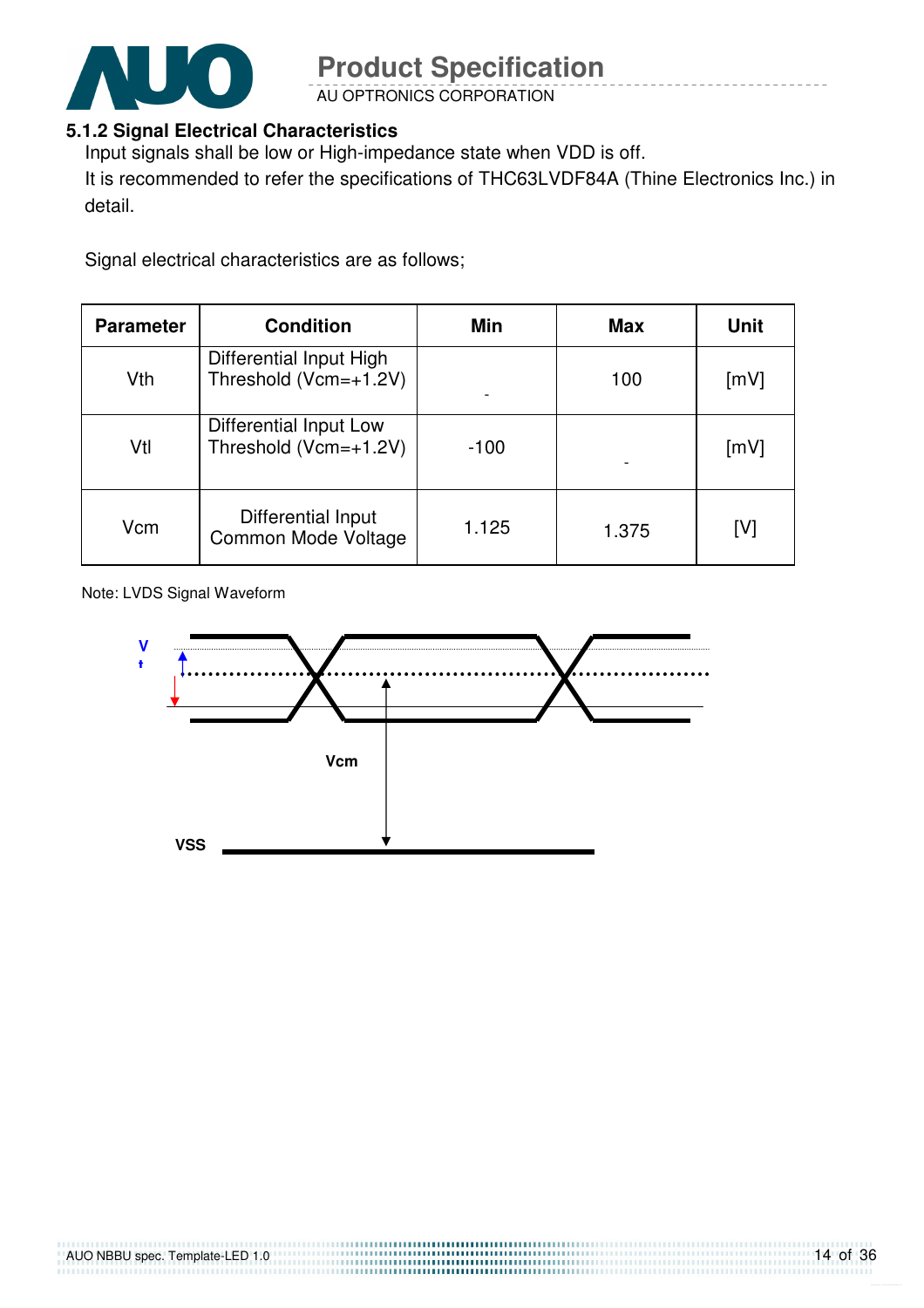

AU OPTRONICS CORPORATION

#### **5.1.2 Signal Electrical Characteristics**

Input signals shall be low or High-impedance state when VDD is off.

It is recommended to refer the specifications of THC63LVDF84A (Thine Electronics Inc.) in detail.

Signal electrical characteristics are as follows;

| <b>Parameter</b> | <b>Condition</b>                                 | <b>Min</b> | <b>Max</b> | Unit |
|------------------|--------------------------------------------------|------------|------------|------|
| Vth              | Differential Input High<br>Threshold (Vcm=+1.2V) |            | 100        | [mV] |
| Vtl              | Differential Input Low<br>Threshold (Vcm=+1.2V)  | $-100$     |            | [mV] |
| Vcm              | Differential Input<br>Common Mode Voltage        | 1.125      | 1.375      | [V]  |

Note: LVDS Signal Waveform

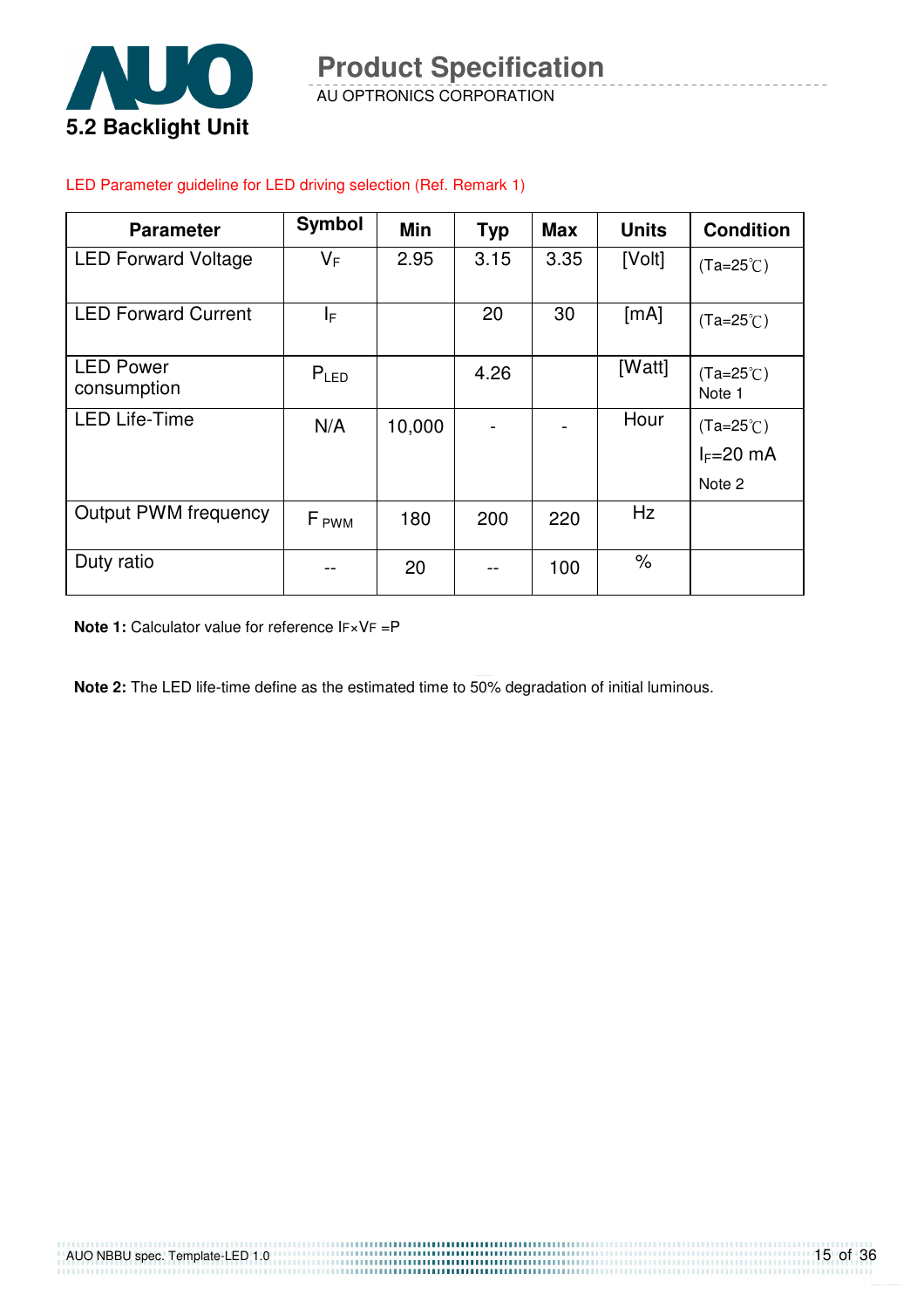

AU OPTRONICS CORPORATION **Product Specification** 

### LED Parameter guideline for LED driving selection (Ref. Remark 1)

| <b>Parameter</b>                | Symbol           | Min    | <b>Typ</b> | <b>Max</b> | <b>Units</b> | <b>Condition</b>                  |
|---------------------------------|------------------|--------|------------|------------|--------------|-----------------------------------|
| <b>LED Forward Voltage</b>      | VF               | 2.95   | 3.15       | 3.35       | [Volt]       | $(Ta=25^{\circ}C)$                |
| <b>LED Forward Current</b>      | ΙF               |        | 20         | 30         | [mA]         | $(Ta=25^{\circ}C)$                |
| <b>LED Power</b><br>consumption | $P_{LED}$        |        | 4.26       |            | [Watt]       | $(Ta=25^{\circ}C)$<br>Note 1      |
| <b>LED Life-Time</b>            | N/A              | 10,000 |            |            | Hour         | $(Ta=25^{\circ}C)$<br>$I_F=20$ mA |
|                                 |                  |        |            |            |              | Note 2                            |
| <b>Output PWM frequency</b>     | F <sub>PWM</sub> | 180    | 200        | 220        | Hz           |                                   |
| Duty ratio                      |                  | 20     | --         | 100        | %            |                                   |

**Note 1:** Calculator value for reference IF×VF =P

**Note 2:** The LED life-time define as the estimated time to 50% degradation of initial luminous.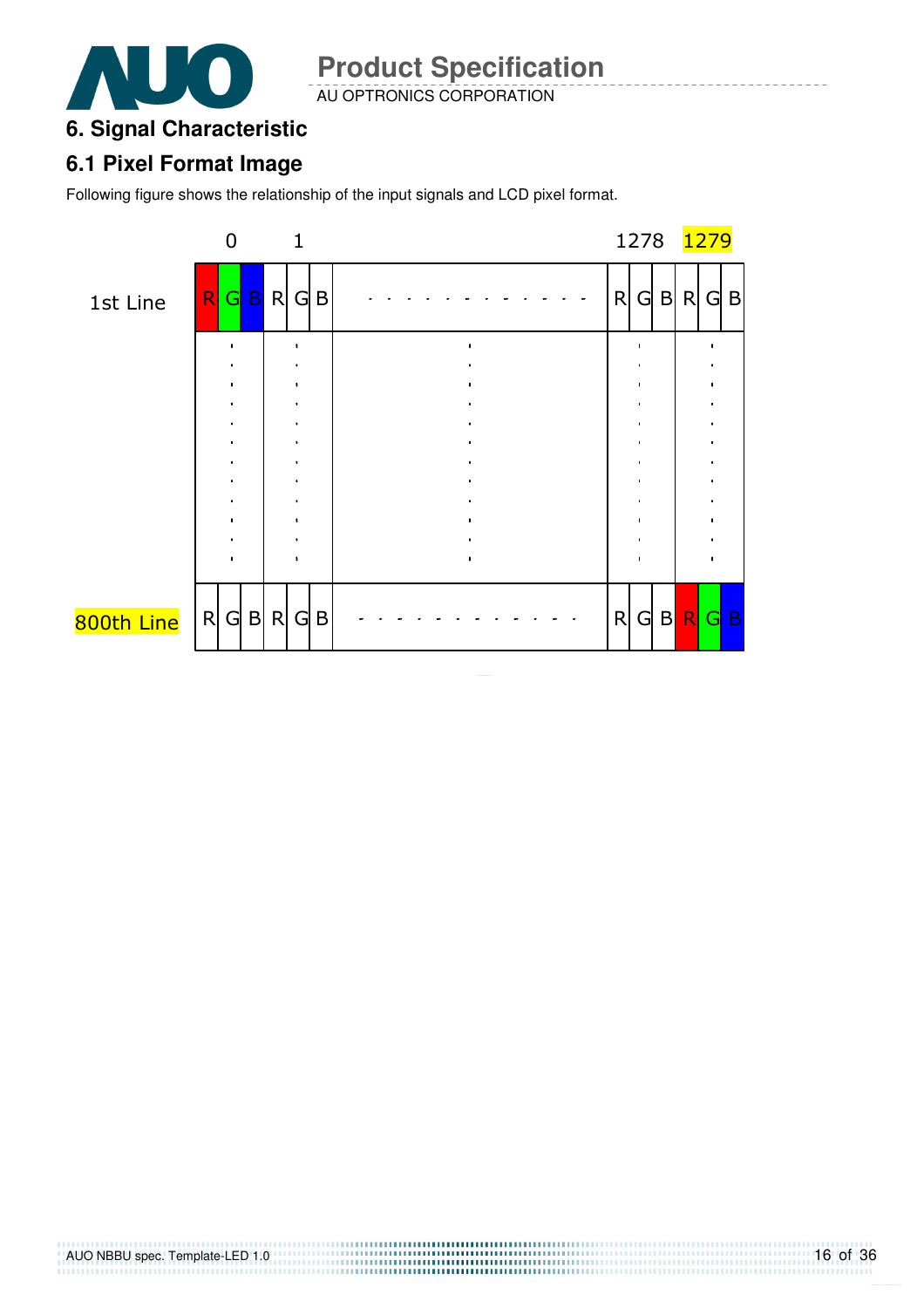

AU OPTRONICS CORPORATION

#### **6. Signal Characteristic**

#### **6.1 Pixel Format Image**

Following figure shows the relationship of the input signals and LCD pixel format.

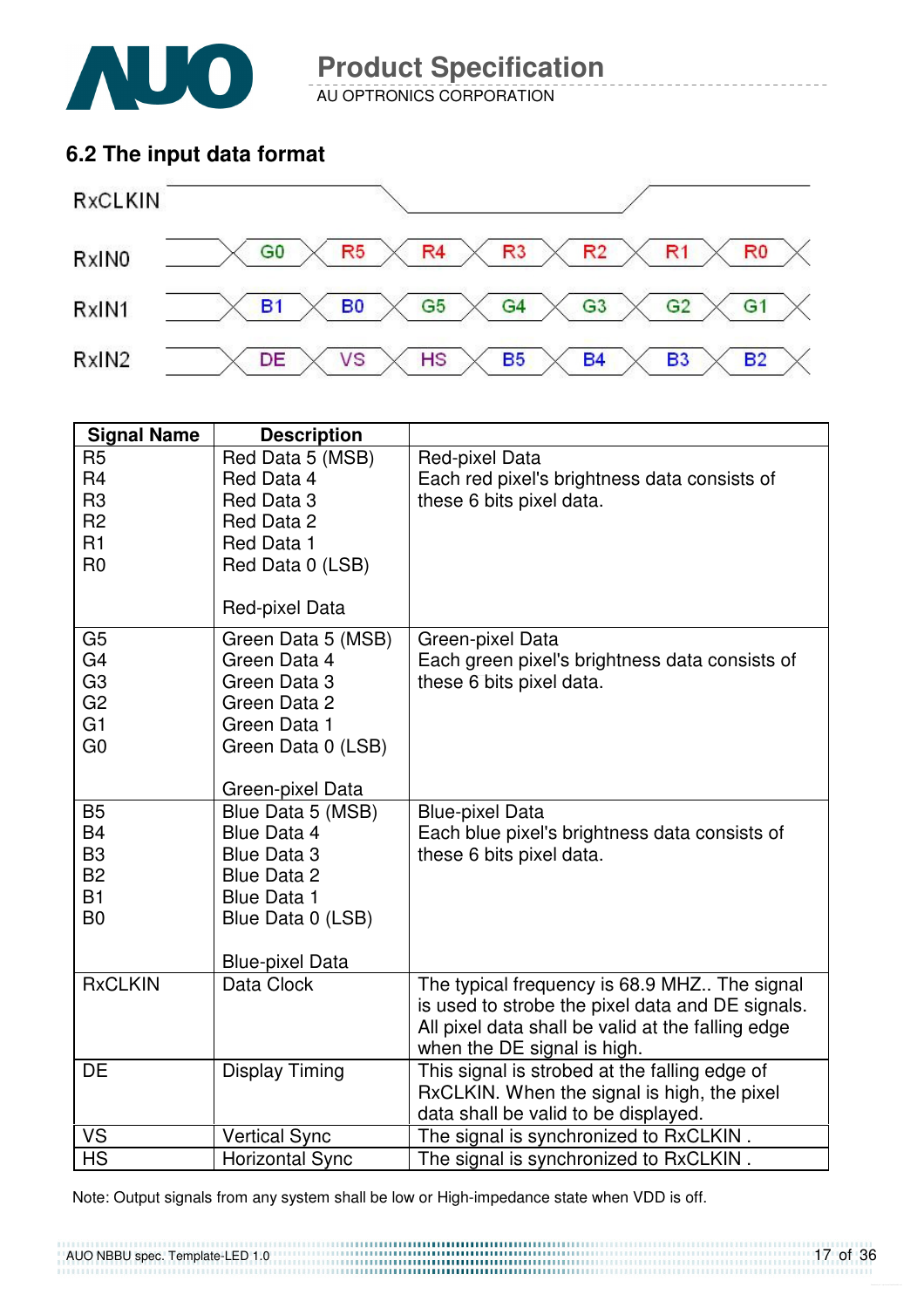

AU OPTRONICS CORPORATION

### **6.2 The input data format**



| <b>Signal Name</b>                                                                                       | <b>Description</b>                                                                                                                                       |                                                                                                                                                                                      |
|----------------------------------------------------------------------------------------------------------|----------------------------------------------------------------------------------------------------------------------------------------------------------|--------------------------------------------------------------------------------------------------------------------------------------------------------------------------------------|
| R <sub>5</sub><br>R <sub>4</sub><br>R <sub>3</sub>                                                       | Red Data 5 (MSB)<br>Red Data 4<br>Red Data 3                                                                                                             | Red-pixel Data<br>Each red pixel's brightness data consists of<br>these 6 bits pixel data.                                                                                           |
| R <sub>2</sub><br>R1<br>R <sub>0</sub>                                                                   | Red Data 2<br>Red Data 1<br>Red Data 0 (LSB)                                                                                                             |                                                                                                                                                                                      |
|                                                                                                          | Red-pixel Data                                                                                                                                           |                                                                                                                                                                                      |
| G <sub>5</sub><br>G <sub>4</sub><br>G <sub>3</sub><br>G <sub>2</sub><br>G <sub>1</sub><br>G <sub>0</sub> | Green Data 5 (MSB)<br>Green Data 4<br>Green Data 3<br>Green Data 2<br>Green Data 1<br>Green Data 0 (LSB)                                                 | Green-pixel Data<br>Each green pixel's brightness data consists of<br>these 6 bits pixel data.                                                                                       |
|                                                                                                          | Green-pixel Data                                                                                                                                         |                                                                                                                                                                                      |
| <b>B5</b><br><b>B4</b><br>B <sub>3</sub><br><b>B2</b><br><b>B1</b><br>B <sub>0</sub>                     | Blue Data 5 (MSB)<br><b>Blue Data 4</b><br><b>Blue Data 3</b><br><b>Blue Data 2</b><br><b>Blue Data 1</b><br>Blue Data 0 (LSB)<br><b>Blue-pixel Data</b> | <b>Blue-pixel Data</b><br>Each blue pixel's brightness data consists of<br>these 6 bits pixel data.                                                                                  |
| <b>RxCLKIN</b>                                                                                           | Data Clock                                                                                                                                               | The typical frequency is 68.9 MHZ The signal<br>is used to strobe the pixel data and DE signals.<br>All pixel data shall be valid at the falling edge<br>when the DE signal is high. |
| <b>DE</b>                                                                                                | <b>Display Timing</b>                                                                                                                                    | This signal is strobed at the falling edge of<br>RxCLKIN. When the signal is high, the pixel<br>data shall be valid to be displayed.                                                 |
| <b>VS</b>                                                                                                | <b>Vertical Sync</b>                                                                                                                                     | The signal is synchronized to RxCLKIN.                                                                                                                                               |
| <b>HS</b>                                                                                                | <b>Horizontal Sync</b>                                                                                                                                   | The signal is synchronized to RxCLKIN.                                                                                                                                               |

Note: Output signals from any system shall be low or High-impedance state when VDD is off.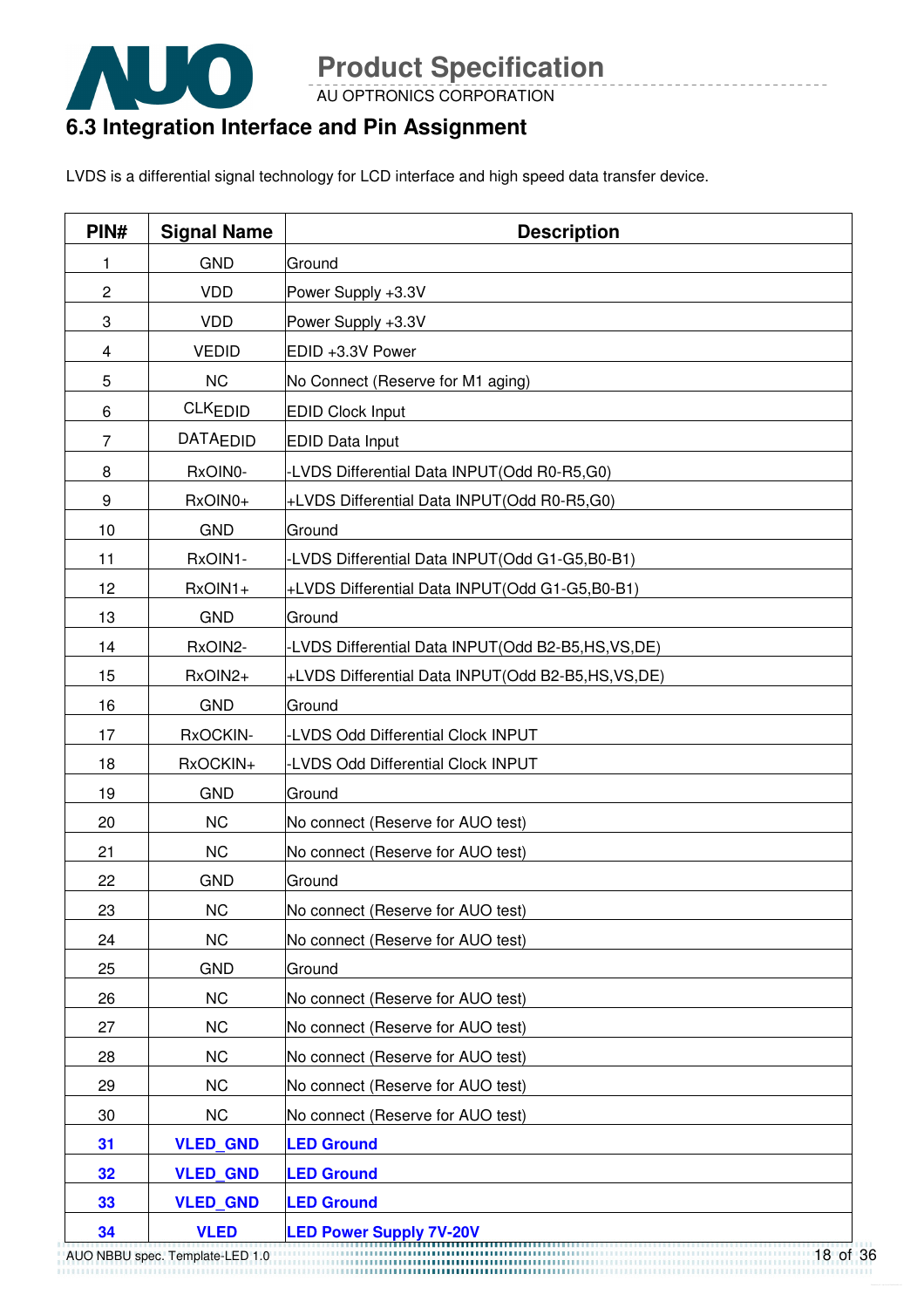

AU OPTRONICS CORPORATION

### **6.3 Integration Interface and Pin Assignment**

LVDS is a differential signal technology for LCD interface and high speed data transfer device.

| PIN#           | <b>Signal Name</b>              | <b>Description</b>                                |  |
|----------------|---------------------------------|---------------------------------------------------|--|
| 1              | <b>GND</b>                      | Ground                                            |  |
| $\mathbf 2$    | <b>VDD</b>                      | Power Supply +3.3V                                |  |
| 3              | <b>VDD</b>                      | Power Supply +3.3V                                |  |
| 4              | <b>VEDID</b>                    | EDID +3.3V Power                                  |  |
| 5              | <b>NC</b>                       | No Connect (Reserve for M1 aging)                 |  |
| 6              | <b>CLKEDID</b>                  | <b>EDID Clock Input</b>                           |  |
| $\overline{7}$ | <b>DATAEDID</b>                 | <b>EDID Data Input</b>                            |  |
| 8              | RxOIN0-                         | -LVDS Differential Data INPUT(Odd R0-R5,G0)       |  |
| 9              | RxOIN0+                         | +LVDS Differential Data INPUT(Odd R0-R5,G0)       |  |
| 10             | <b>GND</b>                      | Ground                                            |  |
| 11             | RxOIN1-                         | LVDS Differential Data INPUT(Odd G1-G5,B0-B1)     |  |
| 12             | RxOIN1+                         | +LVDS Differential Data INPUT(Odd G1-G5,B0-B1)    |  |
| 13             | <b>GND</b>                      | Ground                                            |  |
| 14             | RxOIN2-                         | -LVDS Differential Data INPUT(Odd B2-B5,HS,VS,DE) |  |
| 15             | RxOIN2+                         | +LVDS Differential Data INPUT(Odd B2-B5,HS,VS,DE) |  |
| 16             | <b>GND</b>                      | Ground                                            |  |
| 17             | RxOCKIN-                        | -LVDS Odd Differential Clock INPUT                |  |
| 18             | RxOCKIN+                        | <b>LVDS Odd Differential Clock INPUT</b>          |  |
| 19             | <b>GND</b>                      | Ground                                            |  |
| 20             | <b>NC</b>                       | No connect (Reserve for AUO test)                 |  |
| 21             | <b>NC</b>                       | No connect (Reserve for AUO test)                 |  |
| 22             | <b>GND</b>                      | Ground                                            |  |
| 23             | <b>NC</b>                       | No connect (Reserve for AUO test)                 |  |
| 24             | <b>NC</b>                       | No connect (Reserve for AUO test)                 |  |
| 25             | <b>GND</b>                      | Ground                                            |  |
| 26             | <b>NC</b>                       | No connect (Reserve for AUO test)                 |  |
| 27             | <b>NC</b>                       | No connect (Reserve for AUO test)                 |  |
| 28             | <b>NC</b>                       | No connect (Reserve for AUO test)                 |  |
| 29             | <b>NC</b>                       | No connect (Reserve for AUO test)                 |  |
| 30             | <b>NC</b>                       | No connect (Reserve for AUO test)                 |  |
| 31             | <b>VLED_GND</b>                 | <b>LED Ground</b>                                 |  |
| 32             | <b>VLED_GND</b>                 | <b>LED Ground</b>                                 |  |
| 33             | <b>VLED GND</b>                 | <b>LED Ground</b>                                 |  |
| 34             | <b>VLED</b>                     | <b>LED Power Supply 7V-20V</b>                    |  |
|                | AUO NBBU spec. Template-LED 1.0 | 8 of                                              |  |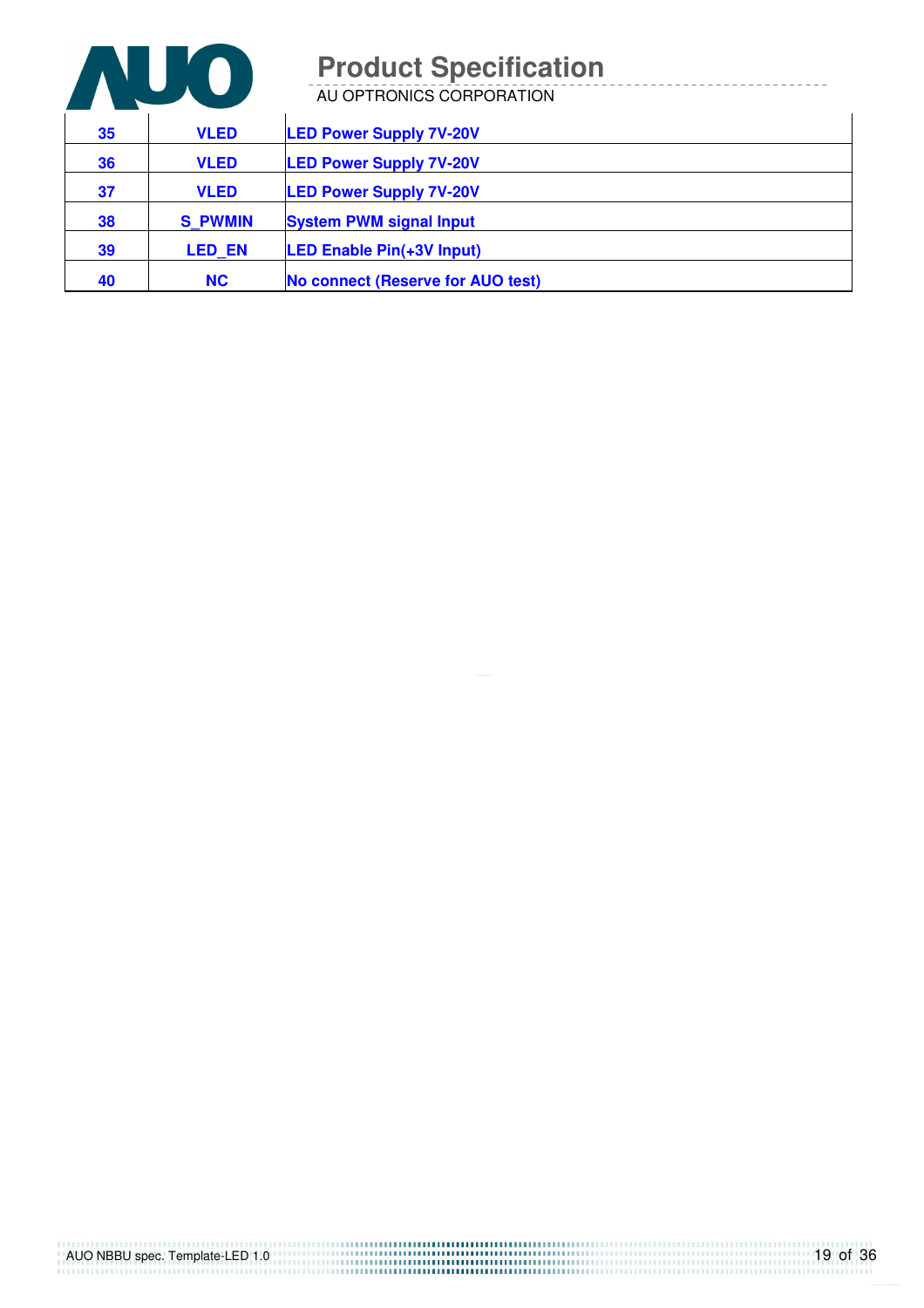

AU OPTRONICS CORPORATION

| 35 | <b>VLED</b>    | <b>LED Power Supply 7V-20V</b>    |
|----|----------------|-----------------------------------|
| 36 | <b>VLED</b>    | <b>LED Power Supply 7V-20V</b>    |
| 37 | <b>VLED</b>    | <b>LED Power Supply 7V-20V</b>    |
| 38 | <b>S PWMIN</b> | <b>System PWM signal Input</b>    |
| 39 | <b>LED EN</b>  | <b>LED Enable Pin(+3V Input)</b>  |
| 40 | <b>NC</b>      | No connect (Reserve for AUO test) |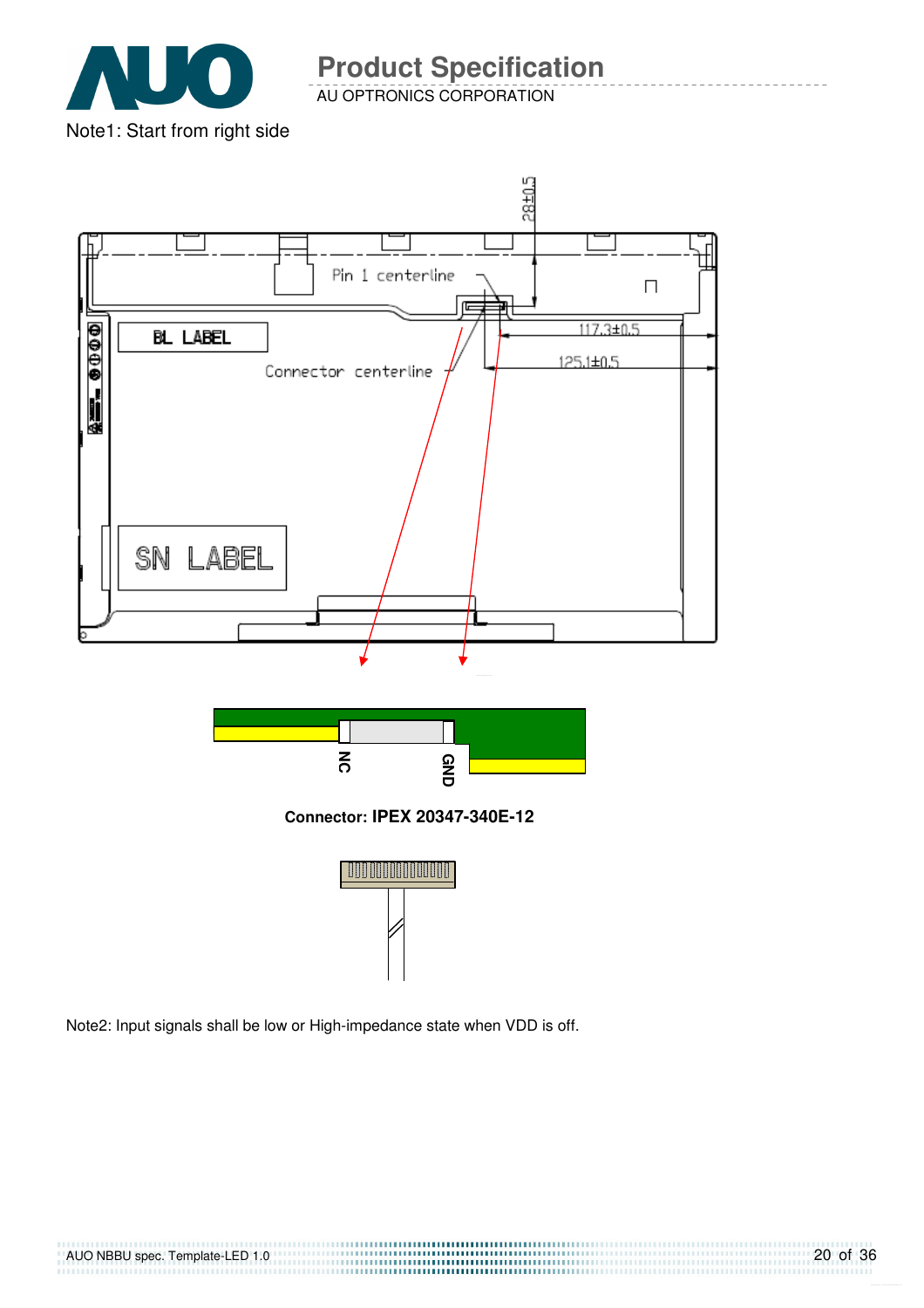

AU OPTRONICS CORPORATION



Note2: Input signals shall be low or High-impedance state when VDD is off.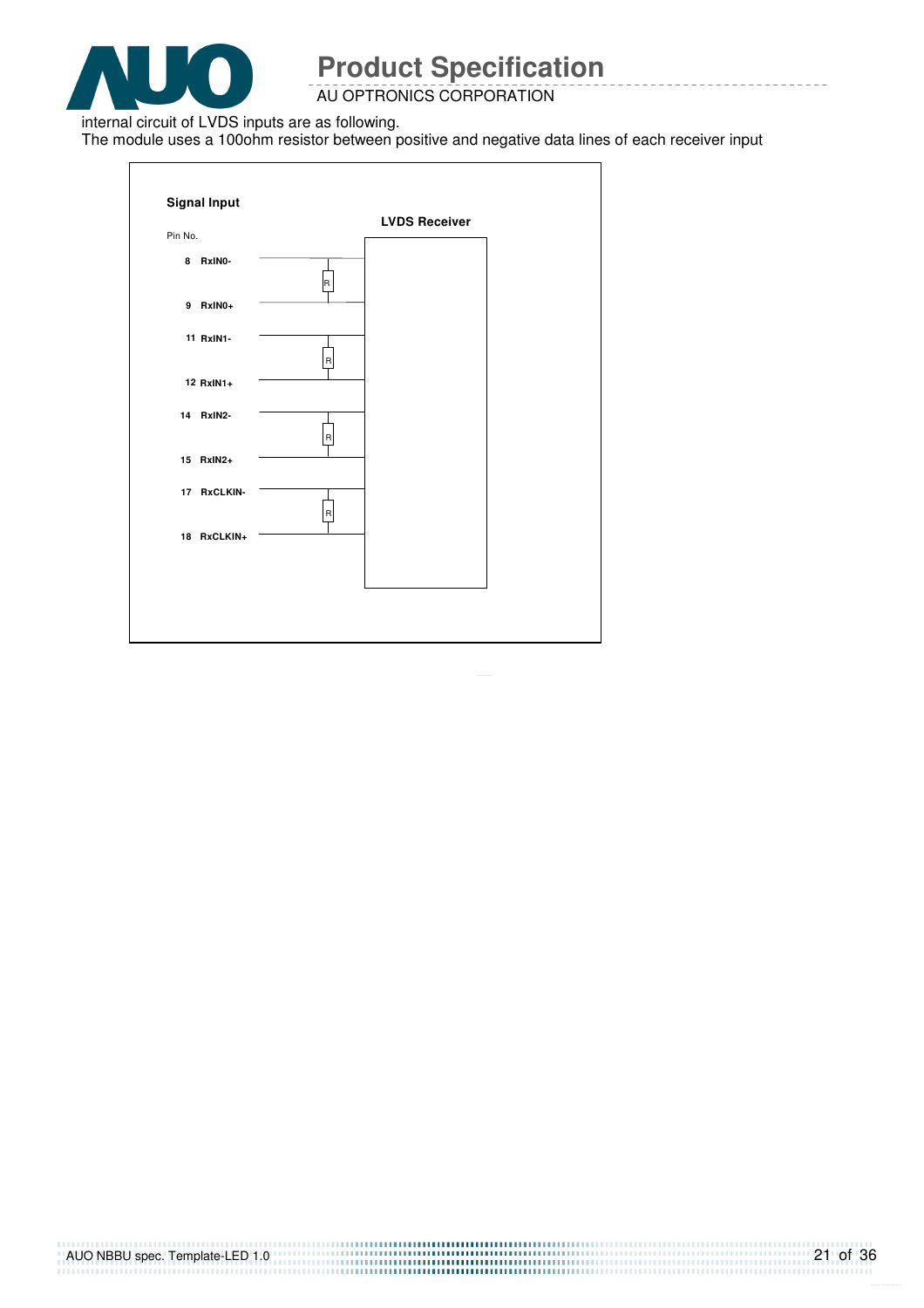

AU OPTRONICS CORPORATION

internal circuit of LVDS inputs are as following.

The module uses a 100ohm resistor between positive and negative data lines of each receiver input

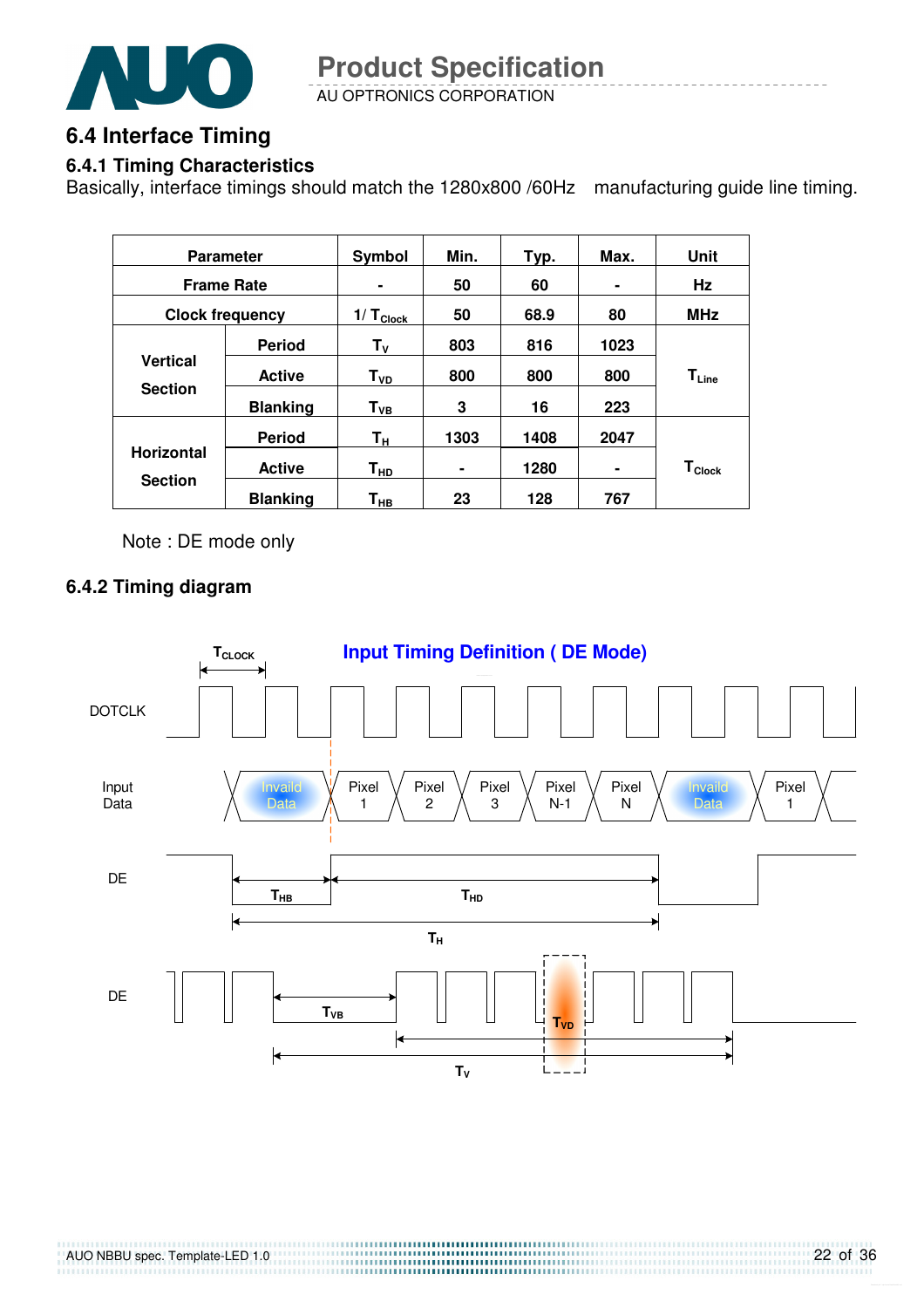

AU OPTRONICS CORPORATION **Product Specification** 

### **6.4 Interface Timing**

#### **6.4.1 Timing Characteristics**

Basically, interface timings should match the 1280x800 /60Hz manufacturing guide line timing.

| <b>Parameter</b>       |                 | Symbol             | Min. | Typ. | Max. | Unit                          |
|------------------------|-----------------|--------------------|------|------|------|-------------------------------|
| <b>Frame Rate</b>      |                 | ۰                  | 50   | 60   | ۰    | Hz                            |
| <b>Clock frequency</b> |                 | $1/ T_{Clock}$     | 50   | 68.9 | 80   | <b>MHz</b>                    |
|                        | <b>Period</b>   | $T_{V}$            | 803  | 816  | 1023 |                               |
| <b>Vertical</b>        | <b>Active</b>   | T <sub>VD</sub>    | 800  | 800  | 800  | $\mathsf{T}_{\mathsf{Line}}$  |
| <b>Section</b>         | <b>Blanking</b> | ${\sf T}_{\sf VB}$ | 3    | 16   | 223  |                               |
|                        | <b>Period</b>   | Τн                 | 1303 | 1408 | 2047 |                               |
| <b>Horizontal</b>      | <b>Active</b>   | T <sub>HD</sub>    |      | 1280 | ۰    | $\mathsf{T}_{\mathsf{Clock}}$ |
| <b>Section</b>         | <b>Blanking</b> | Т <sub>нв</sub>    | 23   | 128  | 767  |                               |

Note : DE mode only

#### **6.4.2 Timing diagram**

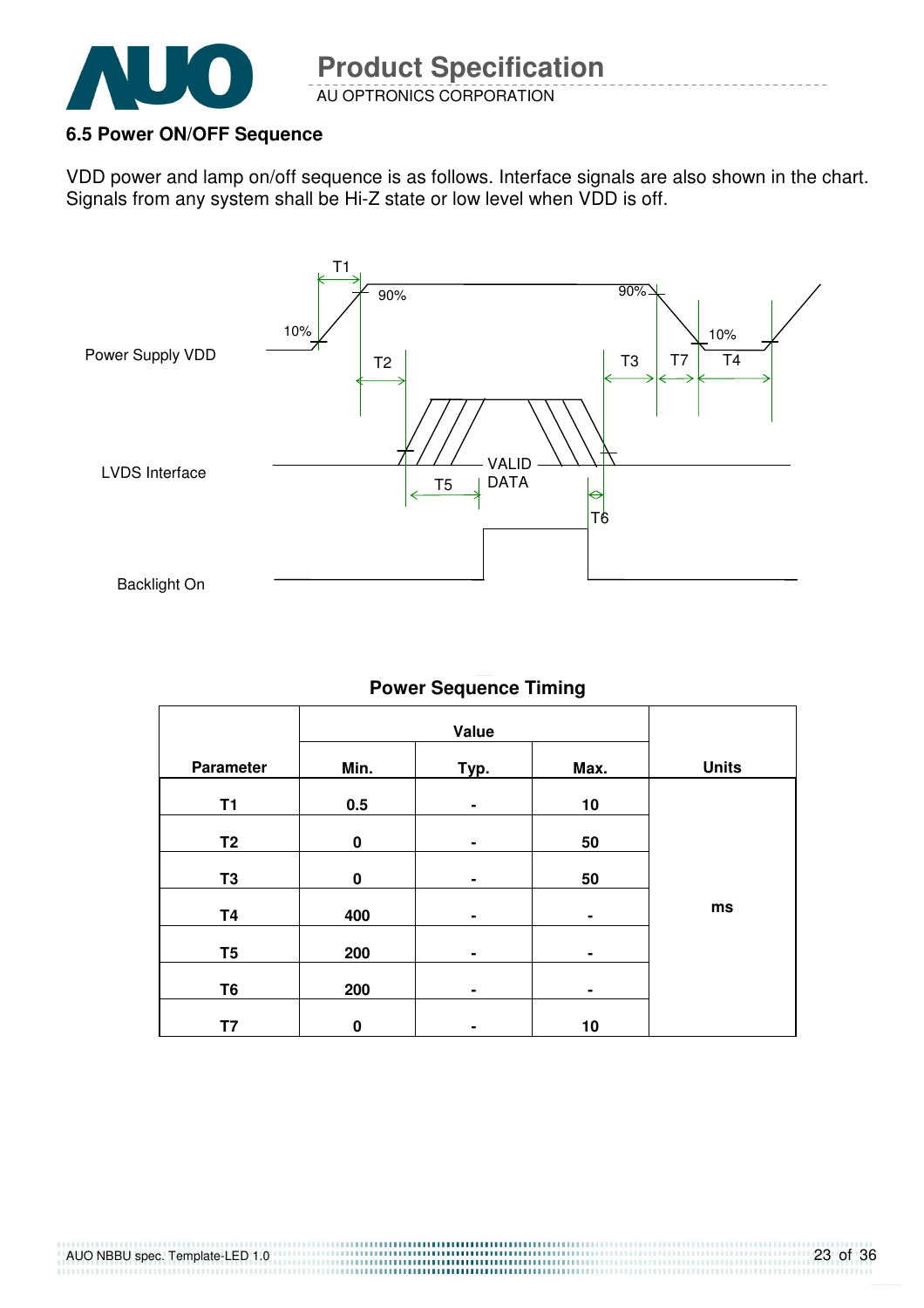

#### **6.5 Power ON/OFF Sequence**

VDD power and lamp on/off sequence is as follows. Interface signals are also shown in the chart. Signals from any system shall be Hi-Z state or low level when VDD is off.



#### **Power Sequence Timing**

|                |          | Value |                |              |
|----------------|----------|-------|----------------|--------------|
| Parameter      | Min.     | Typ.  | Max.           | <b>Units</b> |
| <b>T1</b>      | 0.5      | ۰     | 10             |              |
| T <sub>2</sub> | $\bf{0}$ | ۰     | 50             |              |
| T <sub>3</sub> | $\bf{0}$ | ۰     | 50             |              |
| <b>T4</b>      | 400      | ۰     | ۰              | ms           |
| T <sub>5</sub> | 200      | ٠     | $\blacksquare$ |              |
| T <sub>6</sub> | 200      | ۰     | ۰              |              |
| T7             | $\bf{0}$ |       | 10             |              |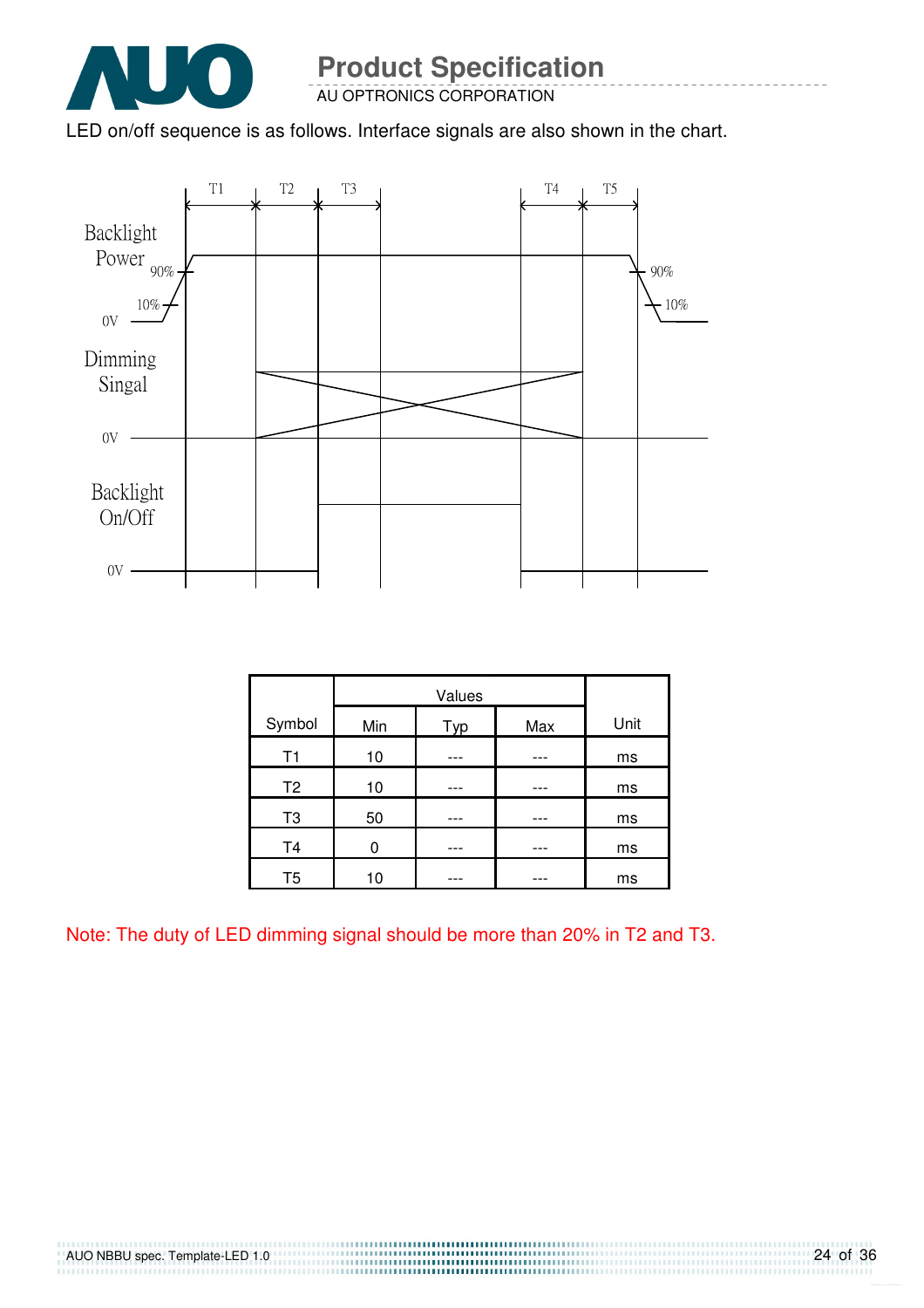

AU OPTRONICS CORPORATION

LED on/off sequence is as follows. Interface signals are also shown in the chart.



|                | Values |     |     |      |
|----------------|--------|-----|-----|------|
| Symbol         | Min    | Typ | Max | Unit |
| T1             | 10     |     |     | ms   |
| T <sub>2</sub> | 10     |     |     | ms   |
| T <sub>3</sub> | 50     |     |     | ms   |
| T <sub>4</sub> | ი      |     |     | ms   |
| T <sub>5</sub> | 10     |     |     | ms   |

Note: The duty of LED dimming signal should be more than 20% in T2 and T3.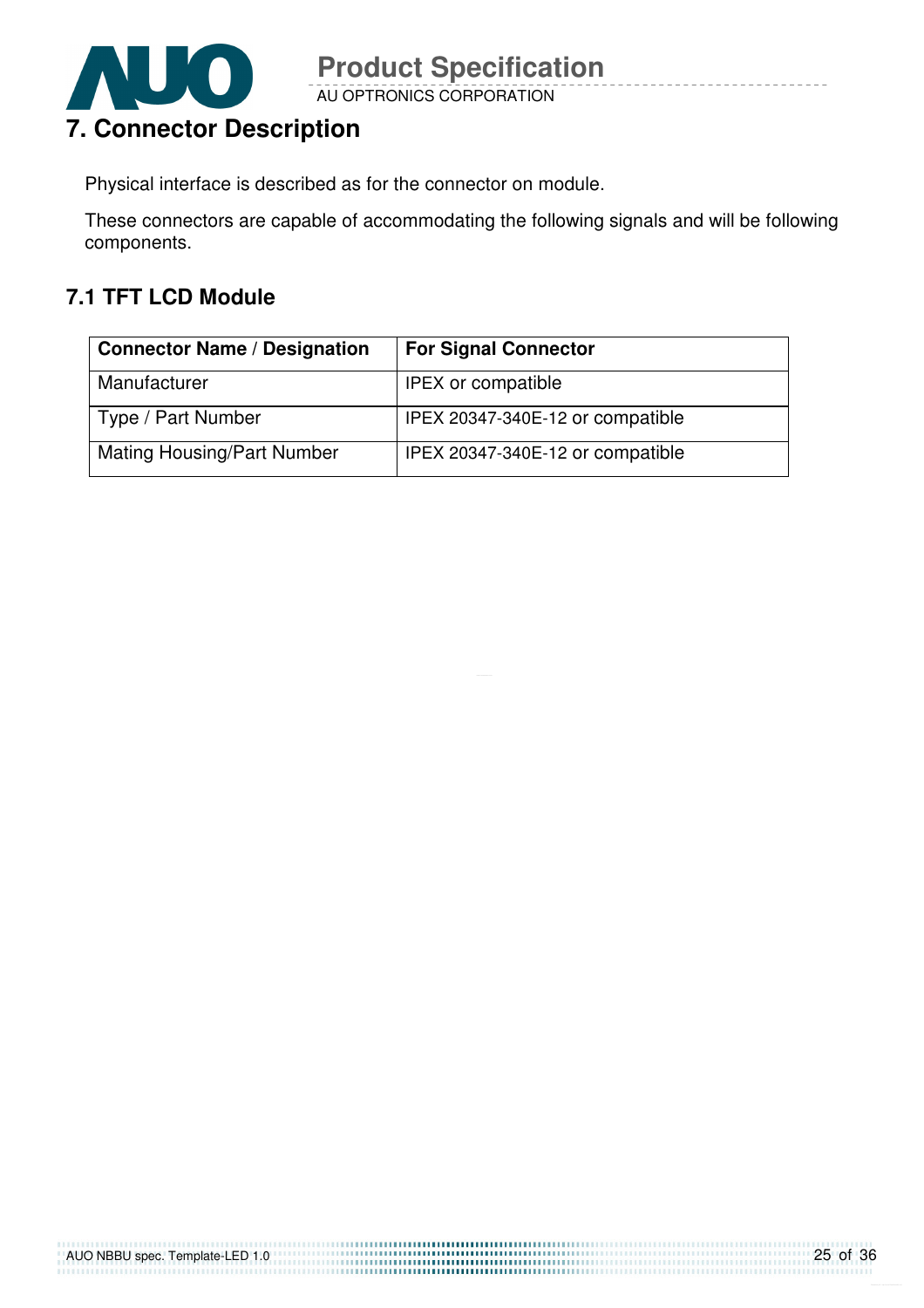

AU OPTRONICS CORPORATION **Product Specification** 

Physical interface is described as for the connector on module.

These connectors are capable of accommodating the following signals and will be following components.

### **7.1 TFT LCD Module**

| <b>Connector Name / Designation</b> | <b>For Signal Connector</b>      |
|-------------------------------------|----------------------------------|
| Manufacturer                        | <b>IPEX or compatible</b>        |
| Type / Part Number                  | IPEX 20347-340E-12 or compatible |
| <b>Mating Housing/Part Number</b>   | IPEX 20347-340E-12 or compatible |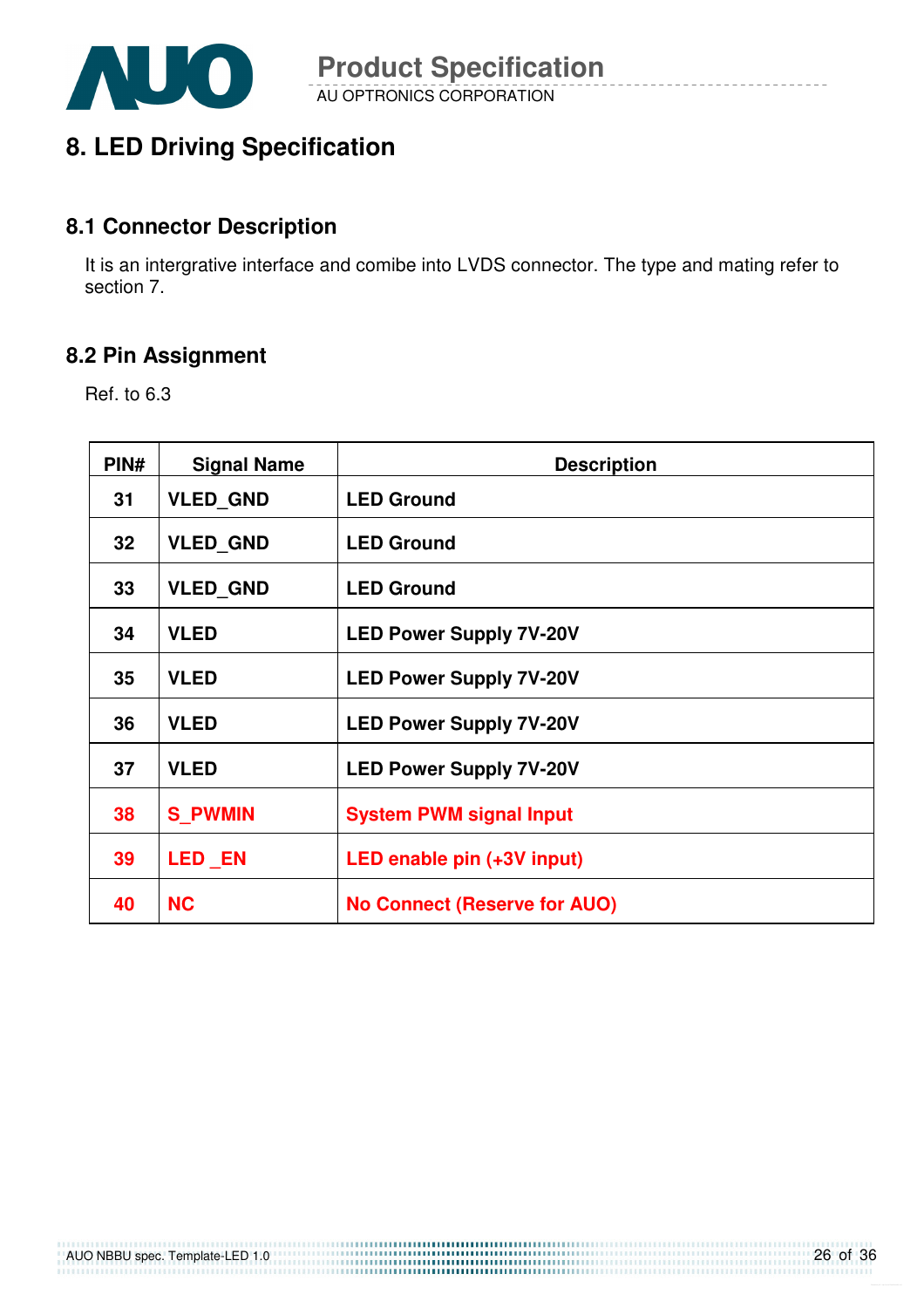

### **8. LED Driving Specification**

#### **8.1 Connector Description**

It is an intergrative interface and comibe into LVDS connector. The type and mating refer to section 7.

#### **8.2 Pin Assignment**

Ref. to 6.3

| PIN# | <b>Signal Name</b> | <b>Description</b>                  |
|------|--------------------|-------------------------------------|
| 31   | <b>VLED GND</b>    | <b>LED Ground</b>                   |
| 32   | <b>VLED GND</b>    | <b>LED Ground</b>                   |
| 33   | <b>VLED_GND</b>    | <b>LED Ground</b>                   |
| 34   | <b>VLED</b>        | <b>LED Power Supply 7V-20V</b>      |
| 35   | <b>VLED</b>        | <b>LED Power Supply 7V-20V</b>      |
| 36   | <b>VLED</b>        | <b>LED Power Supply 7V-20V</b>      |
| 37   | <b>VLED</b>        | <b>LED Power Supply 7V-20V</b>      |
| 38   | <b>S PWMIN</b>     | <b>System PWM signal Input</b>      |
| 39   | <b>LED EN</b>      | LED enable pin (+3V input)          |
| 40   | <b>NC</b>          | <b>No Connect (Reserve for AUO)</b> |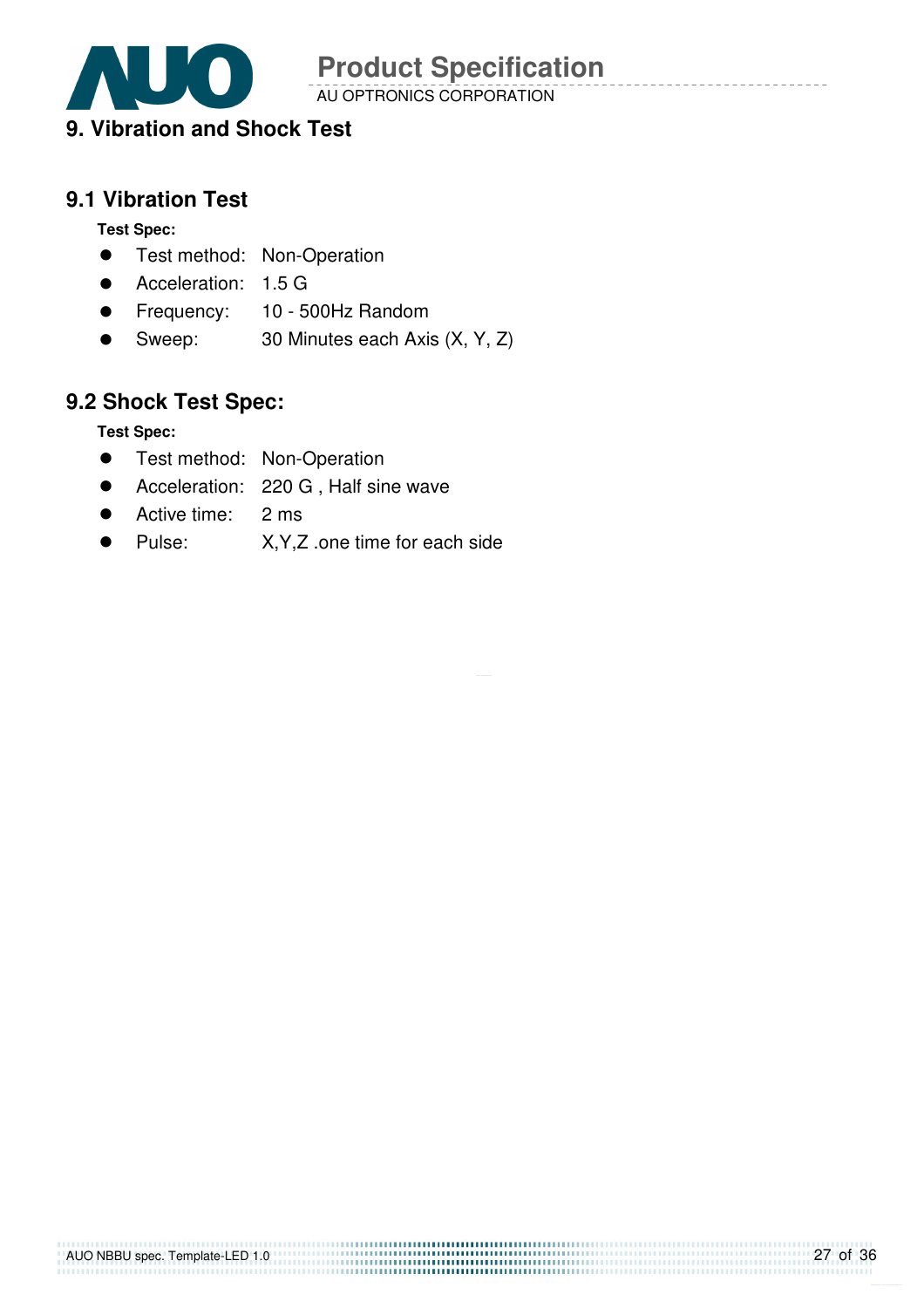

AU OPTRONICS CORPORATION

### **9. Vibration and Shock Test**

### **9.1 Vibration Test**

**Test Spec:** 

- **•** Test method: Non-Operation
- Acceleration: 1.5 G
- **•** Frequency: 10 500Hz Random
- Sweep: 30 Minutes each Axis (X, Y, Z)

### **9.2 Shock Test Spec:**

**Test Spec:** 

- **•** Test method: Non-Operation
- Acceleration: 220 G , Half sine wave
- Active time: 2 ms
- Pulse: X, Y, Z .one time for each side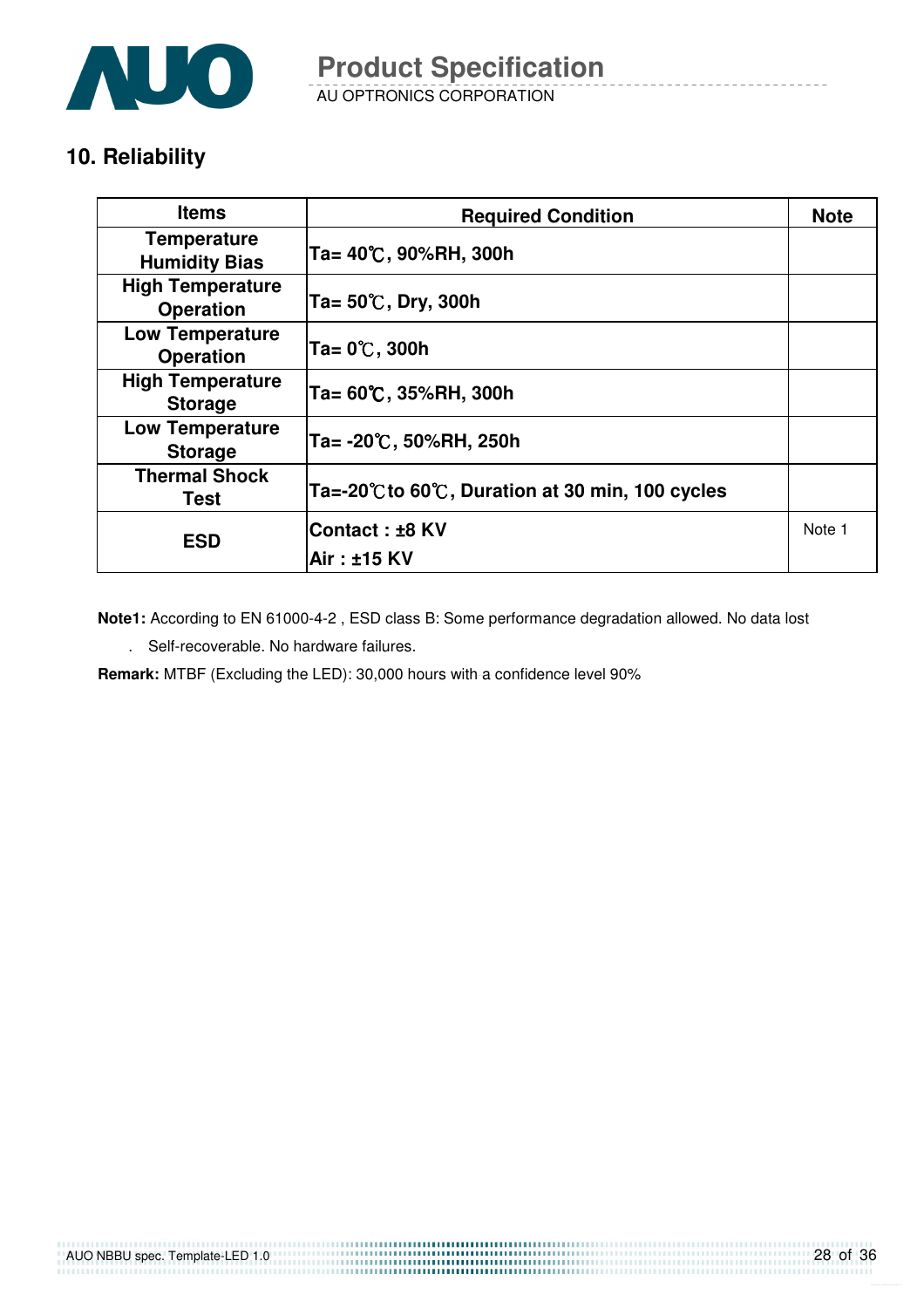

AU OPTRONICS CORPORATION **Product Specification** 

### **10. Reliability**

| <b>Items</b>                                | <b>Required Condition</b>                      | <b>Note</b> |
|---------------------------------------------|------------------------------------------------|-------------|
| <b>Temperature</b><br><b>Humidity Bias</b>  | Ta= 40℃, 90%RH, 300h                           |             |
| <b>High Temperature</b><br><b>Operation</b> | Ta= 50℃, Dry, 300h                             |             |
| <b>Low Temperature</b><br><b>Operation</b>  | Ta= 0℃, 300h                                   |             |
| <b>High Temperature</b><br><b>Storage</b>   | Ta= 60℃, 35%RH, 300h                           |             |
| <b>Low Temperature</b><br><b>Storage</b>    | Ta= -20℃, 50%RH, 250h                          |             |
| <b>Thermal Shock</b><br>Test                | Ta=-20℃ to 60℃, Duration at 30 min, 100 cycles |             |
| <b>ESD</b>                                  | <b>Contact : ±8 KV</b>                         | Note 1      |
|                                             | Air: ±15 KV                                    |             |

**Note1:** According to EN 61000-4-2 , ESD class B: Some performance degradation allowed. No data lost

. Self-recoverable. No hardware failures.

**Remark:** MTBF (Excluding the LED): 30,000 hours with a confidence level 90%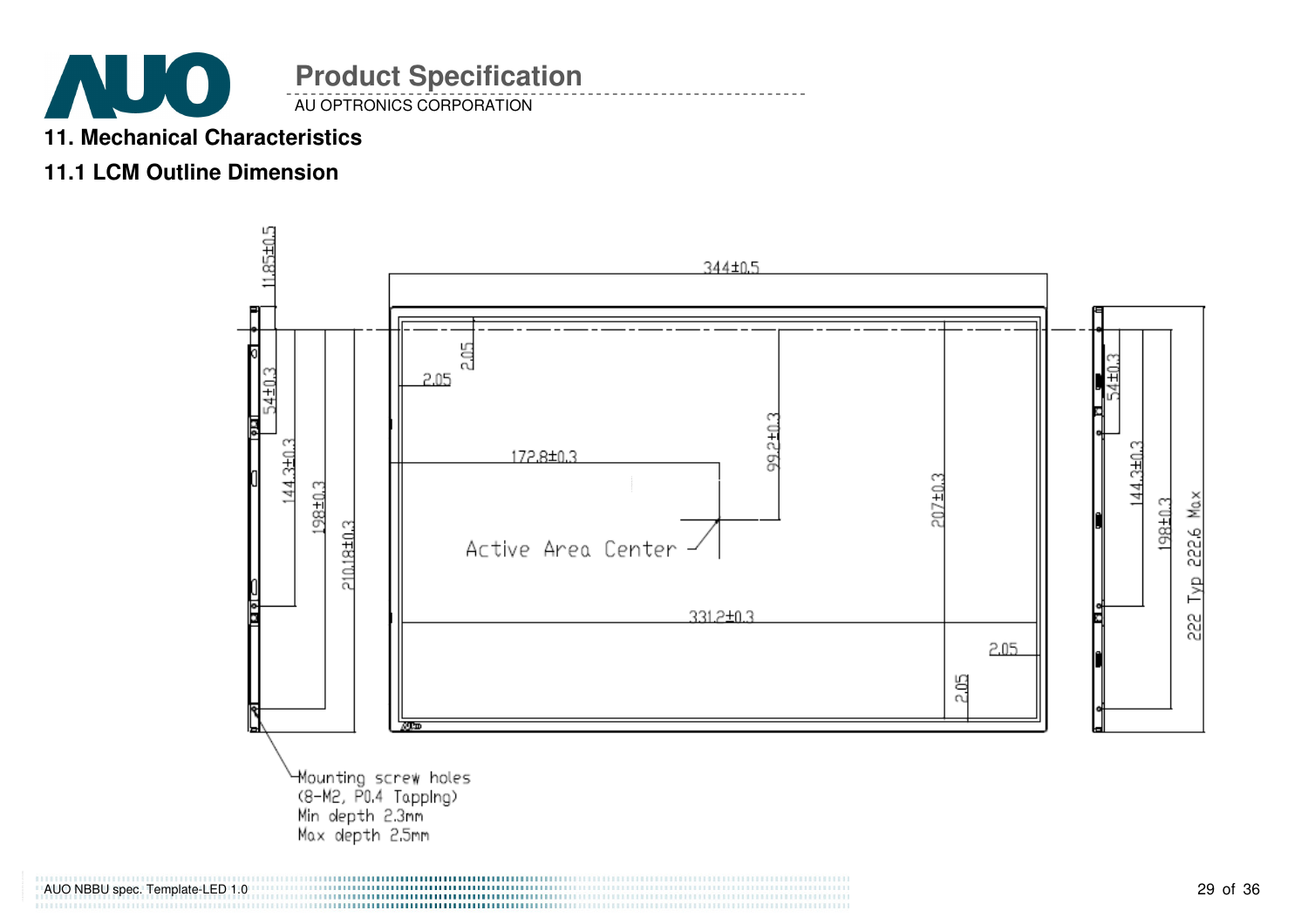

### **11. Mechanical Characteristics**

### **11.1 LCM Outline Dimension**



AUO NBBU spec. Template-LED 1.0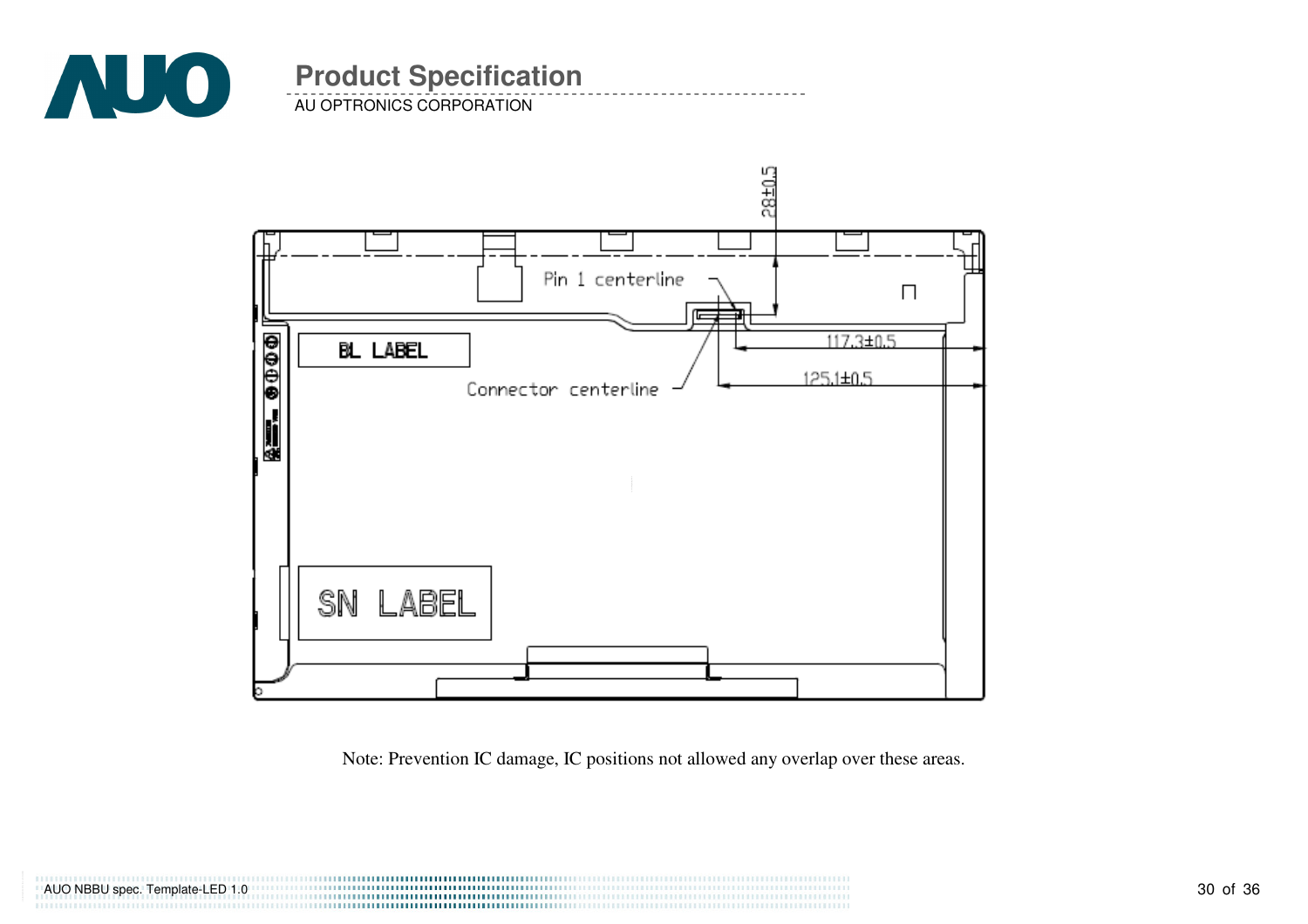

AU OPTRONICS CORPORATION

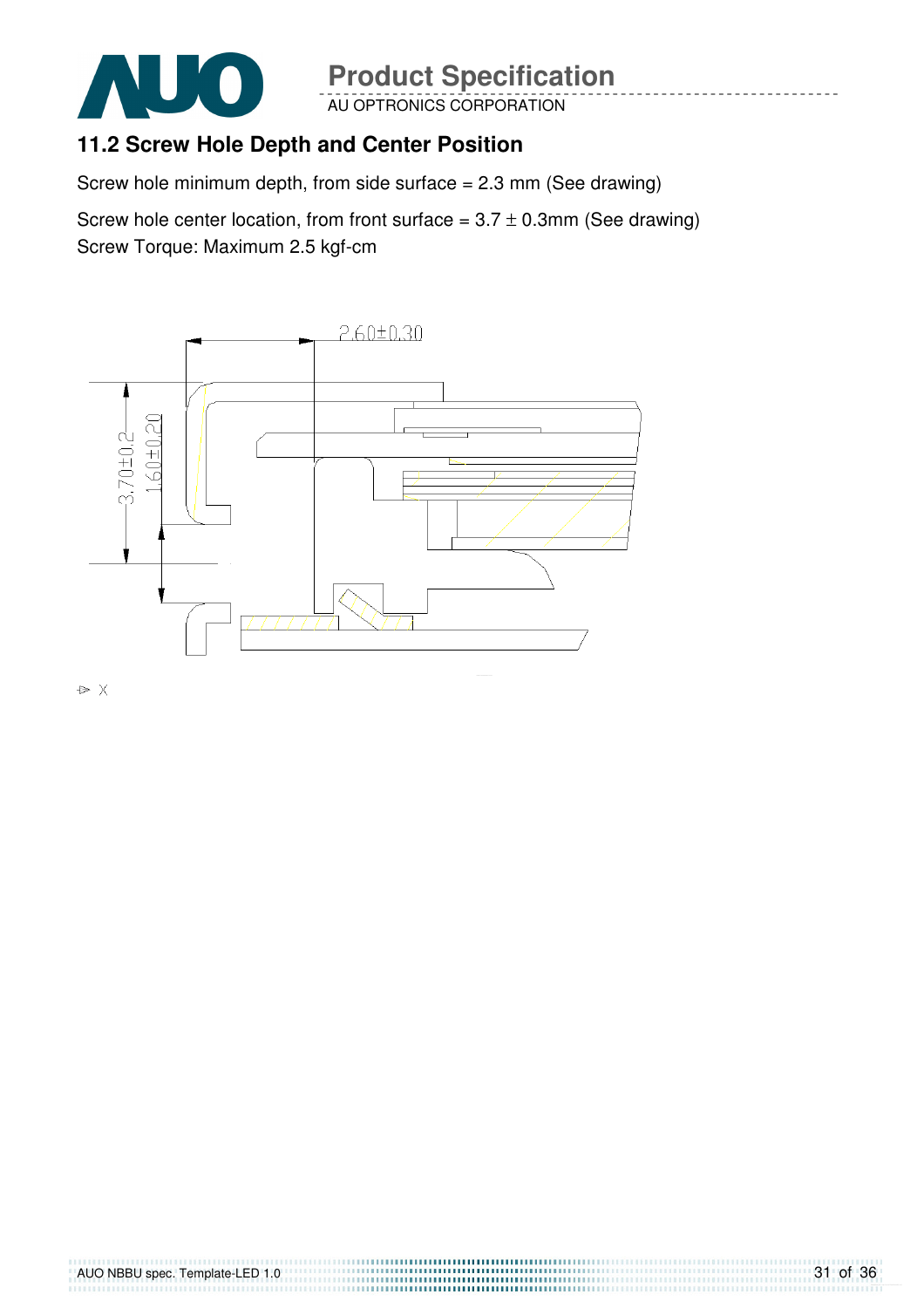

AU OPTRONICS CORPORATION

### **11.2 Screw Hole Depth and Center Position**

Screw hole minimum depth, from side surface  $= 2.3$  mm (See drawing)

Screw hole center location, from front surface =  $3.7 \pm 0.3$ mm (See drawing) Screw Torque: Maximum 2.5 kgf-cm



 $\triangleright$  X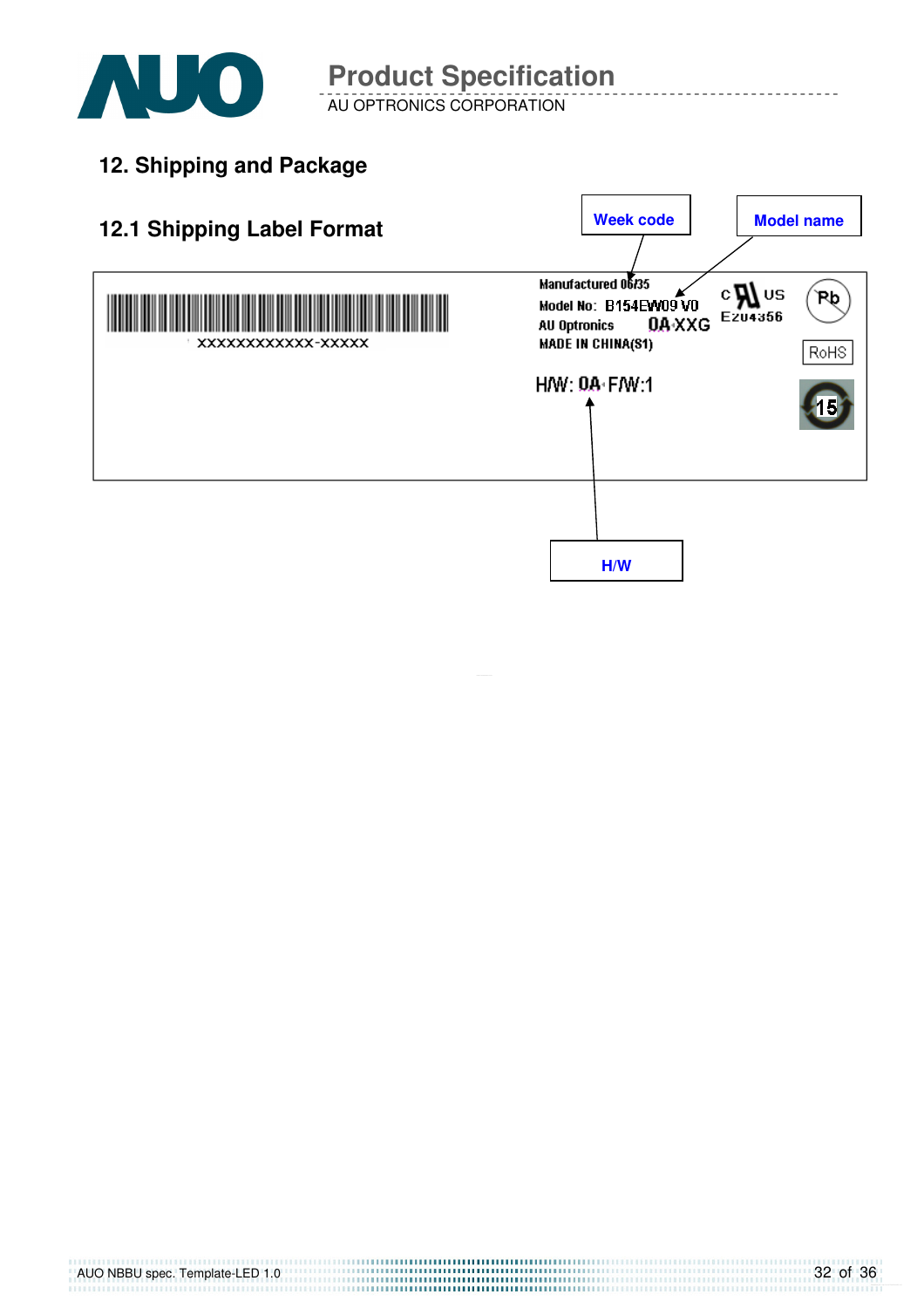

AU OPTRONICS CORPORATION

**12. Shipping and Package**

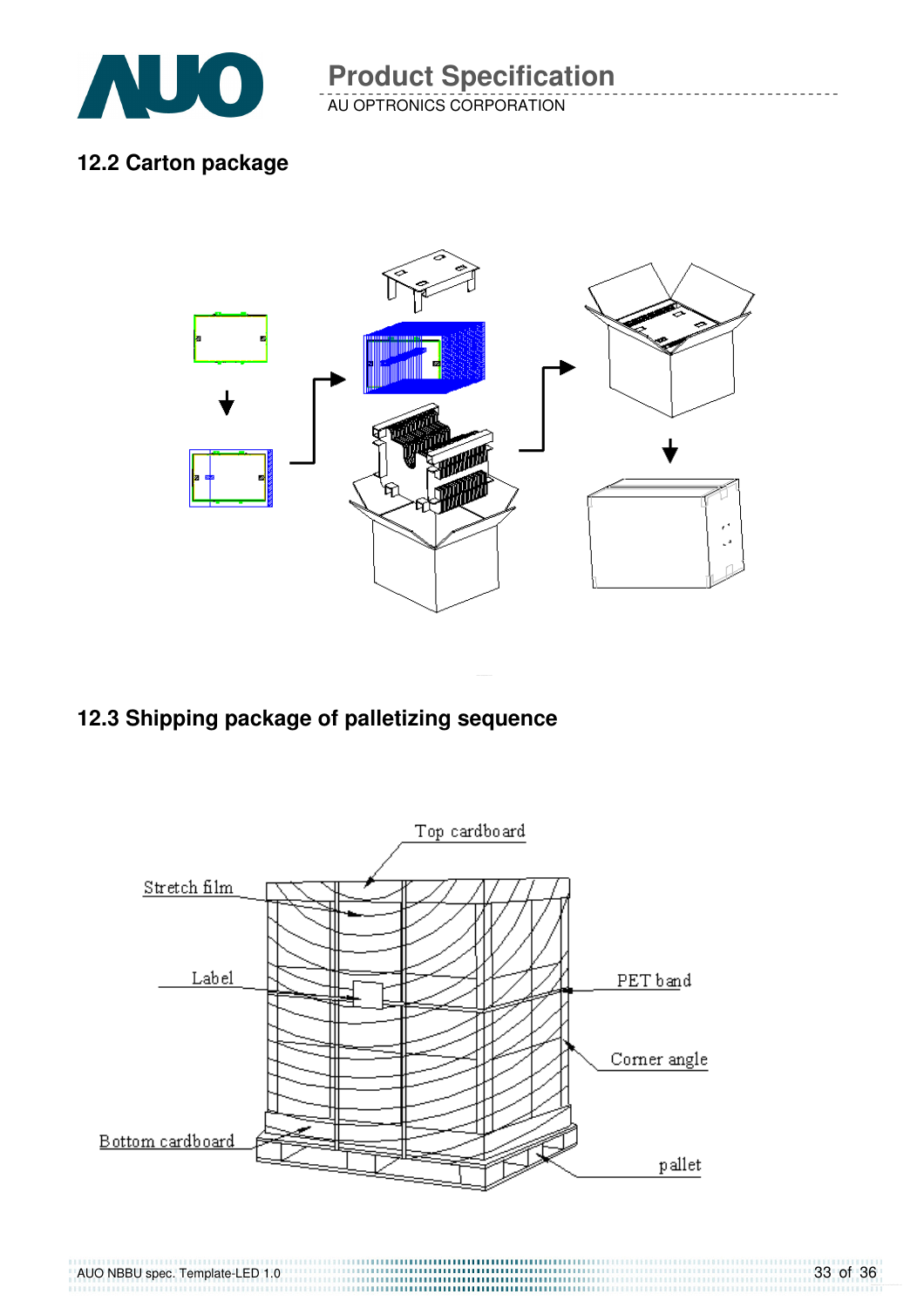

AU OPTRONICS CORPORATION **Product Specification** 

#### **12.2 Carton package**



### **12.3 Shipping package of palletizing sequence**

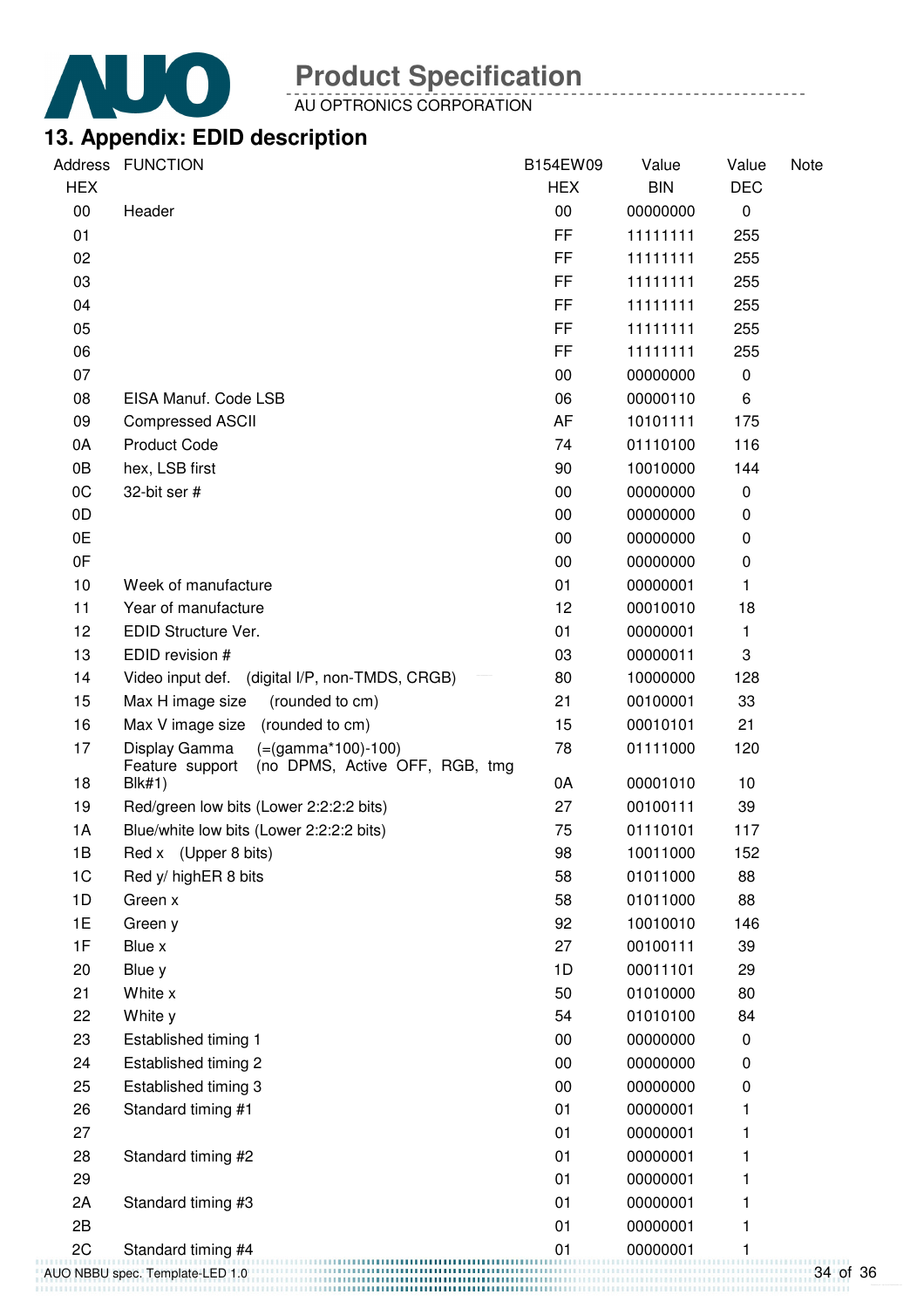

AU OPTRONICS CORPORATION

### **13. Appendix: EDID description**

| Address        | <b>FUNCTION</b>                                                                            | B154EW09   | Value      | Value      | Note |
|----------------|--------------------------------------------------------------------------------------------|------------|------------|------------|------|
| <b>HEX</b>     |                                                                                            | <b>HEX</b> | <b>BIN</b> | <b>DEC</b> |      |
| $00\,$         | Header                                                                                     | 00         | 00000000   | 0          |      |
| 01             |                                                                                            | FF         | 11111111   | 255        |      |
| 02             |                                                                                            | FF.        | 11111111   | 255        |      |
| 03             |                                                                                            | FF         | 11111111   | 255        |      |
| 04             |                                                                                            | FF         | 11111111   | 255        |      |
| 05             |                                                                                            | FF         | 11111111   | 255        |      |
| 06             |                                                                                            | FF         | 11111111   | 255        |      |
| 07             |                                                                                            | 00         | 00000000   | 0          |      |
| 08             | EISA Manuf. Code LSB                                                                       | 06         | 00000110   | 6          |      |
| 09             | <b>Compressed ASCII</b>                                                                    | AF         | 10101111   | 175        |      |
| 0A             | <b>Product Code</b>                                                                        | 74         | 01110100   | 116        |      |
| 0B             | hex, LSB first                                                                             | 90         | 10010000   | 144        |      |
| 0C             | 32-bit ser #                                                                               | 00         | 00000000   | 0          |      |
| 0D             |                                                                                            | 00         | 00000000   | 0          |      |
| 0E             |                                                                                            | 00         | 00000000   | 0          |      |
| 0F             |                                                                                            | 00         | 00000000   | 0          |      |
| 10             | Week of manufacture                                                                        | 01         | 00000001   | 1          |      |
| 11             | Year of manufacture                                                                        | 12         | 00010010   | 18         |      |
| 12             | EDID Structure Ver.                                                                        | 01         | 00000001   | 1          |      |
| 13             | EDID revision #                                                                            | 03         | 00000011   | 3          |      |
| 14             | Video input def.<br>(digital I/P, non-TMDS, CRGB)                                          | 80         | 10000000   | 128        |      |
| 15             | Max H image size<br>(rounded to cm)                                                        | 21         | 00100001   | 33         |      |
| 16             | (rounded to cm)<br>Max V image size                                                        | 15         | 00010101   | 21         |      |
| 17             | $(=(gamma*100)-100)$<br>Display Gamma<br>Feature support<br>(no DPMS, Active OFF, RGB, tmg | 78         | 01111000   | 120        |      |
| 18             | <b>Blk#1)</b>                                                                              | 0A         | 00001010   | 10         |      |
| 19             | Red/green low bits (Lower 2:2:2:2 bits)                                                    | 27         | 00100111   | 39         |      |
| 1A             | Blue/white low bits (Lower 2:2:2:2 bits)                                                   | 75         | 01110101   | 117        |      |
| 1B             | Red x (Upper 8 bits)                                                                       | 98         | 10011000   | 152        |      |
| 1 <sub>C</sub> | Red y/ highER 8 bits                                                                       | 58         | 01011000   | 88         |      |
| 1D             | Green x                                                                                    | 58         | 01011000   | 88         |      |
| 1E             | Green y                                                                                    | 92         | 10010010   | 146        |      |
| 1F             | Blue x                                                                                     | 27         | 00100111   | 39         |      |
| 20             | Blue y                                                                                     | 1D         | 00011101   | 29         |      |
| 21             | White x                                                                                    | 50         | 01010000   | 80         |      |
| 22             | White y                                                                                    | 54         | 01010100   | 84         |      |
| 23             | Established timing 1                                                                       | 00         | 00000000   | 0          |      |
| 24             | Established timing 2                                                                       | 00         | 00000000   | 0          |      |
| 25             | Established timing 3                                                                       | 00         | 00000000   | 0          |      |
| 26             | Standard timing #1                                                                         | 01         | 00000001   | 1          |      |
| 27             |                                                                                            | 01         | 00000001   | 1          |      |
| 28             | Standard timing #2                                                                         | 01         | 00000001   | 1          |      |
| 29             |                                                                                            | 01         | 00000001   |            |      |
| 2A             | Standard timing #3                                                                         | 01         | 00000001   |            |      |
| 2B             |                                                                                            | 01         | 00000001   | 1          |      |
| 2C             | Standard timing #4                                                                         | 01         | 00000001   |            |      |
|                | AUO NBBU spec. Template-LED 1.0                                                            |            |            |            |      |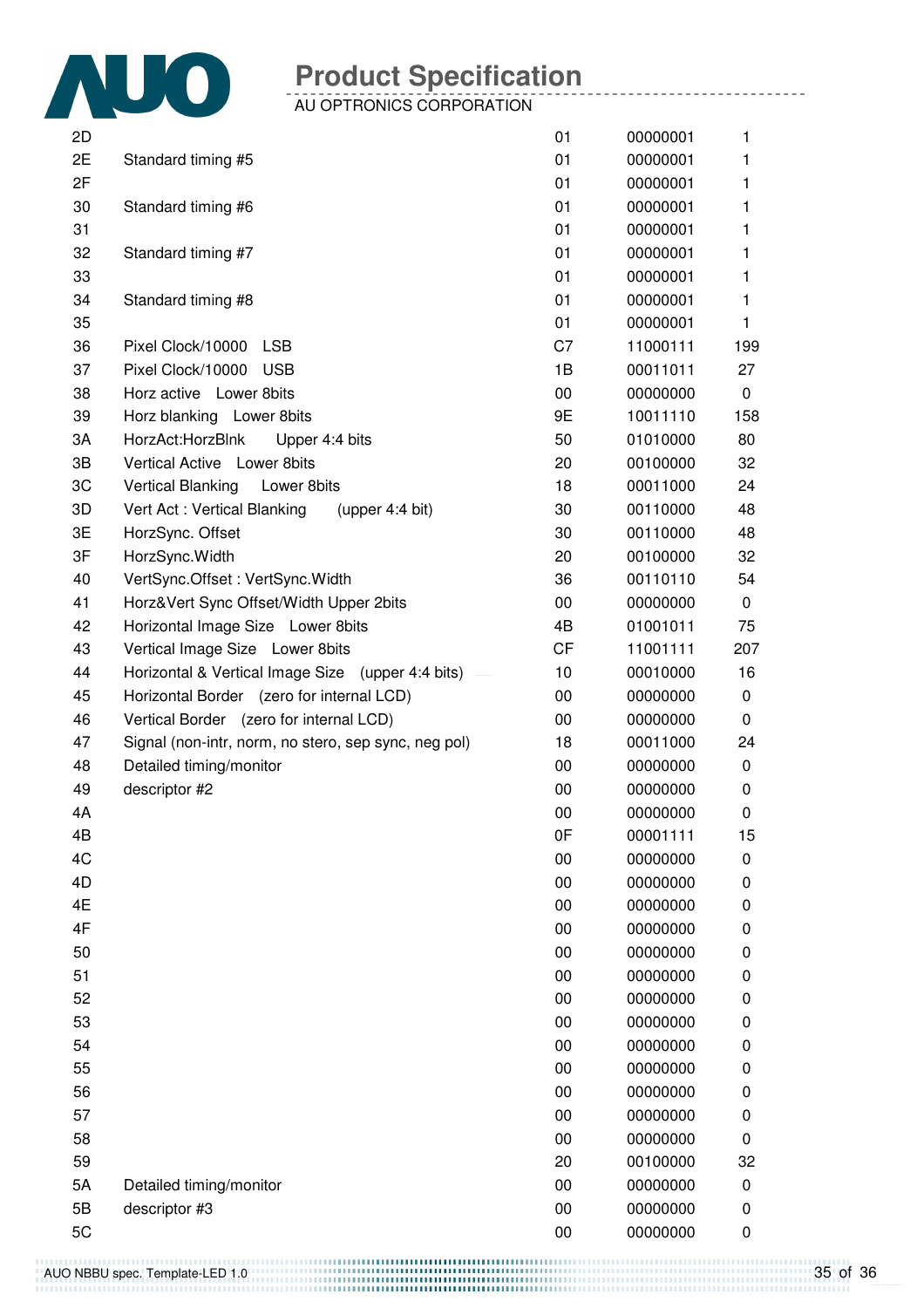

AU OPTRONICS CORPORATION

| 2D |                                                      | 01        | 00000001 | 1   |
|----|------------------------------------------------------|-----------|----------|-----|
| 2E | Standard timing #5                                   | 01        | 00000001 | 1   |
| 2F |                                                      | 01        | 00000001 | 1   |
| 30 | Standard timing #6                                   | 01        | 00000001 | 1   |
| 31 |                                                      | 01        | 00000001 | 1   |
| 32 | Standard timing #7                                   | 01        | 00000001 | 1   |
| 33 |                                                      | 01        | 00000001 | 1.  |
| 34 | Standard timing #8                                   | 01        | 00000001 | 1   |
| 35 |                                                      | 01        | 00000001 | 1.  |
| 36 | Pixel Clock/10000<br><b>LSB</b>                      | C7        | 11000111 | 199 |
| 37 | Pixel Clock/10000<br><b>USB</b>                      | 1B        | 00011011 | 27  |
| 38 | Horz active Lower 8bits                              | 00        | 00000000 | 0   |
| 39 | Horz blanking Lower 8bits                            | 9E        | 10011110 | 158 |
| 3A | HorzAct:HorzBlnk<br>Upper 4:4 bits                   | 50        | 01010000 | 80  |
| 3B | Vertical Active Lower 8bits                          | 20        | 00100000 | 32  |
| 3C | Vertical Blanking<br>Lower 8bits                     | 18        | 00011000 | 24  |
| 3D | Vert Act: Vertical Blanking<br>(upper $4:4$ bit)     | 30        | 00110000 | 48  |
| 3E | HorzSync. Offset                                     | 30        | 00110000 | 48  |
| 3F | HorzSync. Width                                      | 20        | 00100000 | 32  |
| 40 | VertSync.Offset: VertSync.Width                      | 36        | 00110110 | 54  |
| 41 | Horz‖ Sync Offset/Width Upper 2bits                  | 00        | 00000000 | 0   |
| 42 |                                                      | 4B        | 01001011 | 75  |
|    | Horizontal Image Size Lower 8bits                    | <b>CF</b> |          |     |
| 43 | Vertical Image Size Lower 8bits                      |           | 11001111 | 207 |
| 44 | Horizontal & Vertical Image Size (upper 4:4 bits)    | 10        | 00010000 | 16  |
| 45 | Horizontal Border (zero for internal LCD)            | 00        | 00000000 | 0   |
| 46 | Vertical Border (zero for internal LCD)              | 00        | 00000000 | 0   |
| 47 | Signal (non-intr, norm, no stero, sep sync, neg pol) | 18        | 00011000 | 24  |
| 48 | Detailed timing/monitor                              | 00        | 00000000 | 0   |
| 49 | descriptor #2                                        | 00        | 00000000 | 0   |
| 4A |                                                      | 00        | 00000000 | 0   |
| 4B |                                                      | 0F        | 00001111 | 15  |
| 4C |                                                      | 00        | 00000000 | 0   |
| 4D |                                                      | 00        | 00000000 | 0   |
| 4E |                                                      | 00        | 00000000 | 0   |
| 4F |                                                      | 00        | 00000000 | 0   |
| 50 |                                                      | 00        | 00000000 | 0   |
| 51 |                                                      | 00        | 00000000 | 0   |
| 52 |                                                      | 00        | 00000000 | 0   |
| 53 |                                                      | 00        | 00000000 | 0   |
| 54 |                                                      | 00        | 00000000 | 0   |
| 55 |                                                      | 00        | 00000000 | 0   |
| 56 |                                                      | 00        | 00000000 | 0   |
| 57 |                                                      | 00        | 00000000 | 0   |
| 58 |                                                      | 00        | 00000000 | 0   |
| 59 |                                                      | 20        | 00100000 | 32  |
| 5A | Detailed timing/monitor                              | 00        | 00000000 | 0   |
| 5B | descriptor #3                                        | 00        | 00000000 | 0   |
| 5C |                                                      | 00        | 00000000 | 0   |

AUO NBBU spec. Template-LED 1.0